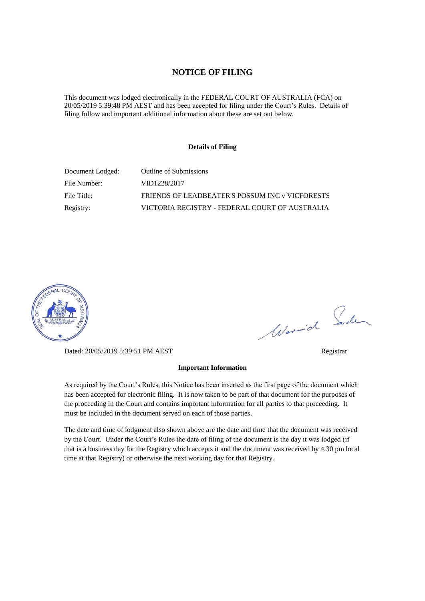#### **NOTICE OF FILING**

This document was lodged electronically in the FEDERAL COURT OF AUSTRALIA (FCA) on 20/05/2019 5:39:48 PM AEST and has been accepted for filing under the Court's Rules. Details of filing follow and important additional information about these are set out below.

#### **Details of Filing**

| Document Lodged: | Outline of Submissions                          |
|------------------|-------------------------------------------------|
| File Number:     | VID1228/2017                                    |
| File Title:      | FRIENDS OF LEADBEATER'S POSSUM INC v VICFORESTS |
| Registry:        | VICTORIA REGISTRY - FEDERAL COURT OF AUSTRALIA  |



Dated: 20/05/2019 5:39:51 PM AEST Registrar

# Worwich Soden

#### **Important Information**

As required by the Court's Rules, this Notice has been inserted as the first page of the document which has been accepted for electronic filing. It is now taken to be part of that document for the purposes of the proceeding in the Court and contains important information for all parties to that proceeding. It must be included in the document served on each of those parties.

The date and time of lodgment also shown above are the date and time that the document was received by the Court. Under the Court's Rules the date of filing of the document is the day it was lodged (if that is a business day for the Registry which accepts it and the document was received by 4.30 pm local time at that Registry) or otherwise the next working day for that Registry.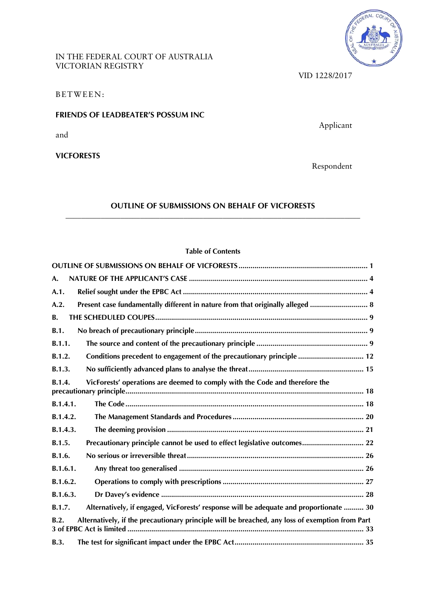IN THE FEDERAL COURT OF AUSTRALIA VICTORIAN REGISTRY



VID 1228/2017

BETWEEN:

## **FRIENDS OF LEADBEATER'S POSSUM INC**

and

**VICFORESTS**

Applicant

Respondent

## **OUTLINE OF SUBMISSIONS ON BEHALF OF VICFORESTS \_\_\_\_\_\_\_\_\_\_\_\_\_\_\_\_\_\_\_\_\_\_\_\_\_\_\_\_\_\_\_\_\_\_\_\_\_\_\_\_\_\_\_\_\_\_\_\_\_\_\_\_\_\_\_\_\_\_\_\_\_\_\_\_\_\_\_\_\_\_\_\_\_\_\_**

# **Table of Contents**

| A.                                                                                                      |
|---------------------------------------------------------------------------------------------------------|
| A.1.                                                                                                    |
| Present case fundamentally different in nature from that originally alleged  8<br>A.2.                  |
| <b>B.</b>                                                                                               |
| B.1.                                                                                                    |
| B.1.1.                                                                                                  |
| Conditions precedent to engagement of the precautionary principle  12<br>B.1.2.                         |
| B.1.3.                                                                                                  |
| VicForests' operations are deemed to comply with the Code and therefore the<br>R.1.4.                   |
| B.1.4.1.                                                                                                |
| B.1.4.2.                                                                                                |
| B.1.4.3.                                                                                                |
| Precautionary principle cannot be used to effect legislative outcomes 22<br>B.1.5.                      |
| B.1.6.                                                                                                  |
| B.1.6.1.                                                                                                |
| B.1.6.2.                                                                                                |
| B.1.6.3.                                                                                                |
| Alternatively, if engaged, VicForests' response will be adequate and proportionate  30<br>B.1.7.        |
| Alternatively, if the precautionary principle will be breached, any loss of exemption from Part<br>B.2. |
| <b>B.3.</b>                                                                                             |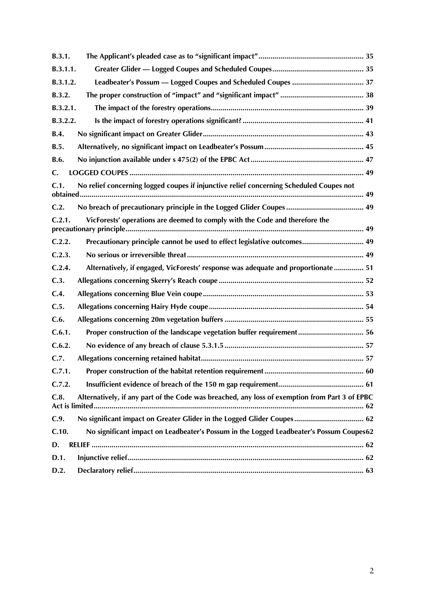| B.3.1.   |                                                                                                |
|----------|------------------------------------------------------------------------------------------------|
| B.3.1.1. |                                                                                                |
| B.3.1.2. |                                                                                                |
| B.3.2.   |                                                                                                |
| B.3.2.1. |                                                                                                |
| B.3.2.2. |                                                                                                |
| B.4.     |                                                                                                |
| B.5.     |                                                                                                |
| B.6.     |                                                                                                |
| C.       |                                                                                                |
| C.1.     | No relief concerning logged coupes if injunctive relief concerning Scheduled Coupes not        |
| C.2.     |                                                                                                |
| C.2.1.   | VicForests' operations are deemed to comply with the Code and therefore the                    |
| C.2.2.   | Precautionary principle cannot be used to effect legislative outcomes 49                       |
| C.2.3.   |                                                                                                |
| C.2.4.   | Alternatively, if engaged, VicForests' response was adequate and proportionate 51              |
| C.3.     |                                                                                                |
| C.4.     |                                                                                                |
| C.5.     |                                                                                                |
| C.6.     |                                                                                                |
| C.6.1.   | Proper construction of the landscape vegetation buffer requirement 56                          |
| C.6.2.   |                                                                                                |
| C.7.     |                                                                                                |
| C.7.1.   |                                                                                                |
| C.7.2.   |                                                                                                |
| C.8.     | Alternatively, if any part of the Code was breached, any loss of exemption from Part 3 of EPBC |
| C.9.     | No significant impact on Greater Glider in the Logged Glider Coupes 62                         |
| C.10.    | No significant impact on Leadbeater's Possum in the Logged Leadbeater's Possum Coupes62        |
| D.       |                                                                                                |
| D.1.     |                                                                                                |
| D.2.     |                                                                                                |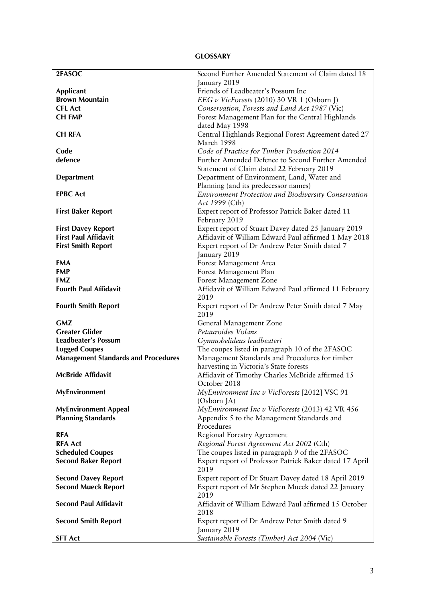## **GLOSSARY**

| 2FASOC                                     | Second Further Amended Statement of Claim dated 18              |  |  |
|--------------------------------------------|-----------------------------------------------------------------|--|--|
|                                            | January 2019                                                    |  |  |
| <b>Applicant</b>                           | Friends of Leadbeater's Possum Inc                              |  |  |
| <b>Brown Mountain</b>                      | EEG v VicForests (2010) 30 VR 1 (Osborn J)                      |  |  |
| <b>CFL Act</b>                             | Conservation, Forests and Land Act 1987 (Vic)                   |  |  |
| <b>CH FMP</b>                              | Forest Management Plan for the Central Highlands                |  |  |
|                                            | dated May 1998                                                  |  |  |
| <b>CH RFA</b>                              | Central Highlands Regional Forest Agreement dated 27            |  |  |
|                                            | March 1998                                                      |  |  |
| Code                                       | Code of Practice for Timber Production 2014                     |  |  |
| defence                                    | Further Amended Defence to Second Further Amended               |  |  |
|                                            | Statement of Claim dated 22 February 2019                       |  |  |
| <b>Department</b>                          | Department of Environment, Land, Water and                      |  |  |
|                                            | Planning (and its predecessor names)                            |  |  |
| <b>EPBC Act</b>                            | <b>Environment Protection and Biodiversity Conservation</b>     |  |  |
|                                            | Act 1999 (Cth)                                                  |  |  |
| <b>First Baker Report</b>                  | Expert report of Professor Patrick Baker dated 11               |  |  |
|                                            | February 2019                                                   |  |  |
| <b>First Davey Report</b>                  | Expert report of Stuart Davey dated 25 January 2019             |  |  |
| <b>First Paul Affidavit</b>                | Affidavit of William Edward Paul affirmed 1 May 2018            |  |  |
| <b>First Smith Report</b>                  | Expert report of Dr Andrew Peter Smith dated 7                  |  |  |
|                                            | January 2019                                                    |  |  |
| <b>FMA</b>                                 | Forest Management Area                                          |  |  |
| <b>FMP</b>                                 | Forest Management Plan                                          |  |  |
| <b>FMZ</b>                                 | Forest Management Zone                                          |  |  |
| <b>Fourth Paul Affidavit</b>               | Affidavit of William Edward Paul affirmed 11 February           |  |  |
|                                            | 2019                                                            |  |  |
| <b>Fourth Smith Report</b>                 | Expert report of Dr Andrew Peter Smith dated 7 May              |  |  |
|                                            | 2019                                                            |  |  |
| <b>GMZ</b>                                 | General Management Zone                                         |  |  |
| <b>Greater Glider</b>                      | Petauroides Volans                                              |  |  |
| <b>Leadbeater's Possum</b>                 | Gymnobelideus leadbeateri                                       |  |  |
| <b>Logged Coupes</b>                       | The coupes listed in paragraph 10 of the 2FASOC                 |  |  |
| <b>Management Standards and Procedures</b> | Management Standards and Procedures for timber                  |  |  |
|                                            | harvesting in Victoria's State forests                          |  |  |
| <b>McBride Affidavit</b>                   | Affidavit of Timothy Charles McBride affirmed 15                |  |  |
|                                            | October 2018                                                    |  |  |
| <b>MyEnvironment</b>                       | MyEnvironment Inc v VicForests [2012] VSC 91                    |  |  |
|                                            | (Osborn JA)                                                     |  |  |
| <b>MyEnvironment Appeal</b>                | MyEnvironment Inc v VicForests (2013) 42 VR 456                 |  |  |
| <b>Planning Standards</b>                  | Appendix 5 to the Management Standards and                      |  |  |
|                                            | Procedures                                                      |  |  |
| <b>RFA</b>                                 | Regional Forestry Agreement                                     |  |  |
| <b>RFA Act</b>                             | Regional Forest Agreement Act 2002 (Cth)                        |  |  |
| <b>Scheduled Coupes</b>                    | The coupes listed in paragraph 9 of the 2FASOC                  |  |  |
| <b>Second Baker Report</b>                 | Expert report of Professor Patrick Baker dated 17 April<br>2019 |  |  |
| <b>Second Davey Report</b>                 | Expert report of Dr Stuart Davey dated 18 April 2019            |  |  |
| <b>Second Mueck Report</b>                 | Expert report of Mr Stephen Mueck dated 22 January              |  |  |
|                                            | 2019                                                            |  |  |
| <b>Second Paul Affidavit</b>               | Affidavit of William Edward Paul affirmed 15 October            |  |  |
|                                            | 2018                                                            |  |  |
| <b>Second Smith Report</b>                 | Expert report of Dr Andrew Peter Smith dated 9                  |  |  |
|                                            | January 2019                                                    |  |  |
| <b>SFT Act</b>                             | Sustainable Forests (Timber) Act 2004 (Vic)                     |  |  |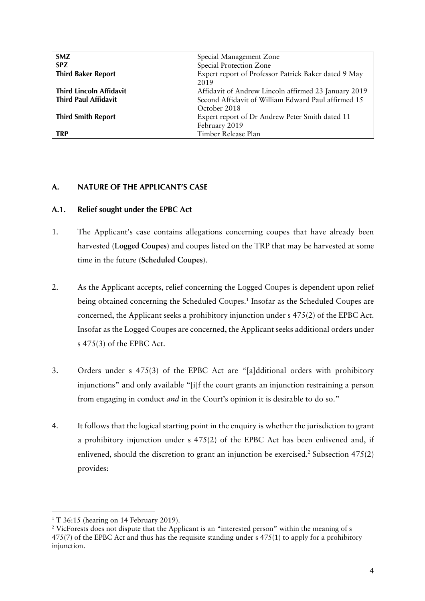| <b>SMZ</b>                     | Special Management Zone                              |  |
|--------------------------------|------------------------------------------------------|--|
| <b>SPZ</b>                     | Special Protection Zone                              |  |
| <b>Third Baker Report</b>      | Expert report of Professor Patrick Baker dated 9 May |  |
|                                | 2019                                                 |  |
| <b>Third Lincoln Affidavit</b> | Affidavit of Andrew Lincoln affirmed 23 January 2019 |  |
| <b>Third Paul Affidavit</b>    | Second Affidavit of William Edward Paul affirmed 15  |  |
|                                | October 2018                                         |  |
| <b>Third Smith Report</b>      | Expert report of Dr Andrew Peter Smith dated 11      |  |
|                                | February 2019                                        |  |
| <b>TRP</b>                     | Timber Release Plan                                  |  |

## **A. NATURE OF THE APPLICANT'S CASE**

## **A.1. Relief sought under the EPBC Act**

- 1. The Applicant's case contains allegations concerning coupes that have already been harvested (**Logged Coupes**) and coupes listed on the TRP that may be harvested at some time in the future (**Scheduled Coupes**).
- 2. As the Applicant accepts, relief concerning the Logged Coupes is dependent upon relief being obtained concerning the Scheduled Coupes.<sup>1</sup> Insofar as the Scheduled Coupes are concerned, the Applicant seeks a prohibitory injunction under s 475(2) of the EPBC Act. Insofar as the Logged Coupes are concerned, the Applicant seeks additional orders under s 475(3) of the EPBC Act.
- 3. Orders under s 475(3) of the EPBC Act are "[a]dditional orders with prohibitory injunctions" and only available "[i]f the court grants an injunction restraining a person from engaging in conduct *and* in the Court's opinion it is desirable to do so."
- 4. It follows that the logical starting point in the enquiry is whether the jurisdiction to grant a prohibitory injunction under s 475(2) of the EPBC Act has been enlivened and, if enlivened, should the discretion to grant an injunction be exercised.<sup>2</sup> Subsection  $475(2)$ provides:

 $1 T 36:15$  (hearing on 14 February 2019).

<sup>&</sup>lt;sup>2</sup> VicForests does not dispute that the Applicant is an "interested person" within the meaning of s 475(7) of the EPBC Act and thus has the requisite standing under s 475(1) to apply for a prohibitory injunction.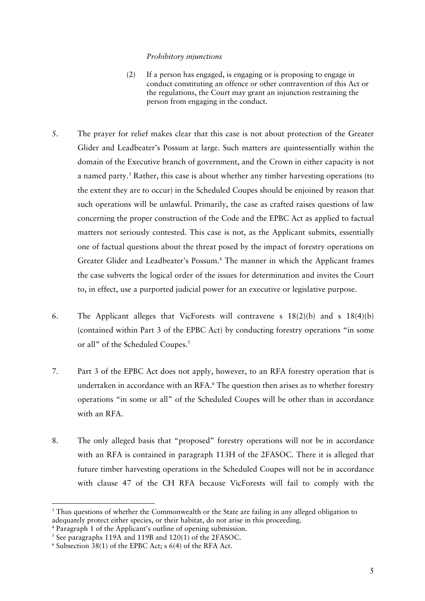#### *Prohibitory injunctions*

- (2) If a person has engaged, is engaging or is proposing to engage in conduct constituting an offence or other contravention of this Act or the regulations, the Court may grant an injunction restraining the person from engaging in the conduct.
- 5. The prayer for relief makes clear that this case is not about protection of the Greater Glider and Leadbeater's Possum at large. Such matters are quintessentially within the domain of the Executive branch of government, and the Crown in either capacity is not a named party.<sup>3</sup> Rather, this case is about whether any timber harvesting operations (to the extent they are to occur) in the Scheduled Coupes should be enjoined by reason that such operations will be unlawful. Primarily, the case as crafted raises questions of law concerning the proper construction of the Code and the EPBC Act as applied to factual matters not seriously contested. This case is not, as the Applicant submits, essentially one of factual questions about the threat posed by the impact of forestry operations on Greater Glider and Leadbeater's Possum.<sup>4</sup> The manner in which the Applicant frames the case subverts the logical order of the issues for determination and invites the Court to, in effect, use a purported judicial power for an executive or legislative purpose.
- 6. The Applicant alleges that VicForests will contravene s 18(2)(b) and s 18(4)(b) (contained within Part 3 of the EPBC Act) by conducting forestry operations "in some or all" of the Scheduled Coupes.<sup>5</sup>
- 7. Part 3 of the EPBC Act does not apply, however, to an RFA forestry operation that is undertaken in accordance with an RFA.<sup>6</sup> The question then arises as to whether forestry operations "in some or all" of the Scheduled Coupes will be other than in accordance with an RFA.
- 8. The only alleged basis that "proposed" forestry operations will not be in accordance with an RFA is contained in paragraph 113H of the 2FASOC. There it is alleged that future timber harvesting operations in the Scheduled Coupes will not be in accordance with clause 47 of the CH RFA because VicForests will fail to comply with the

<sup>&</sup>lt;sup>3</sup> Thus questions of whether the Commonwealth or the State are failing in any alleged obligation to adequately protect either species, or their habitat, do not arise in this proceeding.<br><sup>4</sup> Paragraph 1 of the Applicant's outline of opening submission.

 $5$  See paragraphs 119A and 119B and 120(1) of the 2FASOC.

 $6$  Subsection 38(1) of the EPBC Act; s 6(4) of the RFA Act.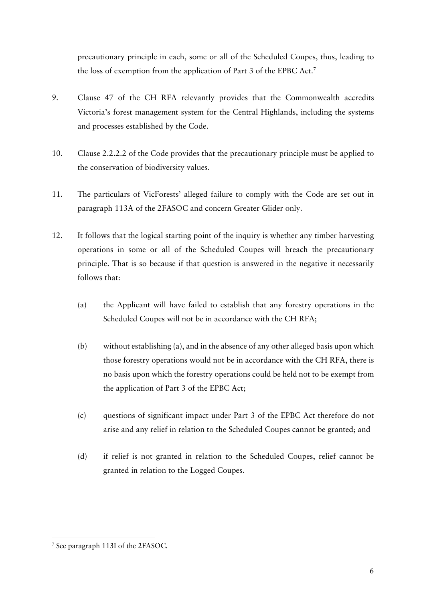precautionary principle in each, some or all of the Scheduled Coupes, thus, leading to the loss of exemption from the application of Part 3 of the EPBC Act. 7

- 9. Clause 47 of the CH RFA relevantly provides that the Commonwealth accredits Victoria's forest management system for the Central Highlands, including the systems and processes established by the Code.
- 10. Clause 2.2.2.2 of the Code provides that the precautionary principle must be applied to the conservation of biodiversity values.
- 11. The particulars of VicForests' alleged failure to comply with the Code are set out in paragraph 113A of the 2FASOC and concern Greater Glider only.
- 12. It follows that the logical starting point of the inquiry is whether any timber harvesting operations in some or all of the Scheduled Coupes will breach the precautionary principle. That is so because if that question is answered in the negative it necessarily follows that:
	- (a) the Applicant will have failed to establish that any forestry operations in the Scheduled Coupes will not be in accordance with the CH RFA;
	- (b) without establishing (a), and in the absence of any other alleged basis upon which those forestry operations would not be in accordance with the CH RFA, there is no basis upon which the forestry operations could be held not to be exempt from the application of Part 3 of the EPBC Act;
	- (c) questions of significant impact under Part 3 of the EPBC Act therefore do not arise and any relief in relation to the Scheduled Coupes cannot be granted; and
	- (d) if relief is not granted in relation to the Scheduled Coupes, relief cannot be granted in relation to the Logged Coupes.

 <sup>7</sup> See paragraph 113I of the 2FASOC.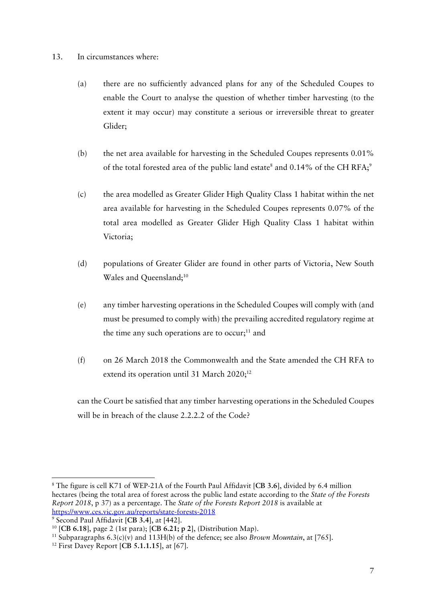## 13. In circumstances where:

- (a) there are no sufficiently advanced plans for any of the Scheduled Coupes to enable the Court to analyse the question of whether timber harvesting (to the extent it may occur) may constitute a serious or irreversible threat to greater Glider;
- (b) the net area available for harvesting in the Scheduled Coupes represents 0.01% of the total forested area of the public land estate<sup>8</sup> and  $0.14\%$  of the CH RFA;<sup>9</sup>
- (c) the area modelled as Greater Glider High Quality Class 1 habitat within the net area available for harvesting in the Scheduled Coupes represents 0.07% of the total area modelled as Greater Glider High Quality Class 1 habitat within Victoria;
- (d) populations of Greater Glider are found in other parts of Victoria, New South Wales and Oueensland;<sup>10</sup>
- (e) any timber harvesting operations in the Scheduled Coupes will comply with (and must be presumed to comply with) the prevailing accredited regulatory regime at the time any such operations are to occur;<sup>11</sup> and
- (f) on 26 March 2018 the Commonwealth and the State amended the CH RFA to extend its operation until 31 March 2020;<sup>12</sup>

can the Court be satisfied that any timber harvesting operations in the Scheduled Coupes will be in breach of the clause 2.2.2.2 of the Code?

 <sup>8</sup> The figure is cell K71 of WEP-21A of the Fourth Paul Affidavit [**CB 3.6**], divided by 6.4 million hectares (being the total area of forest across the public land estate according to the *State of the Forests Report 2018*, p 37) as a percentage. The *State of the Forests Report 2018* is available at https://www.ces.vic.gov.au/reports/state-forests-2018

<sup>9</sup> Second Paul Affidavit [**CB 3.4**], at [442].

<sup>&</sup>lt;sup>10</sup> [CB 6.18], page 2 (1st para); [CB 6.21; p 2], (Distribution Map).<br><sup>11</sup> Subparagraphs 6.3(c)(v) and 113H(b) of the defence; see also *Brown Mountain*, at [765].

<sup>12</sup> First Davey Report [**CB 5.1.1.15**], at [67].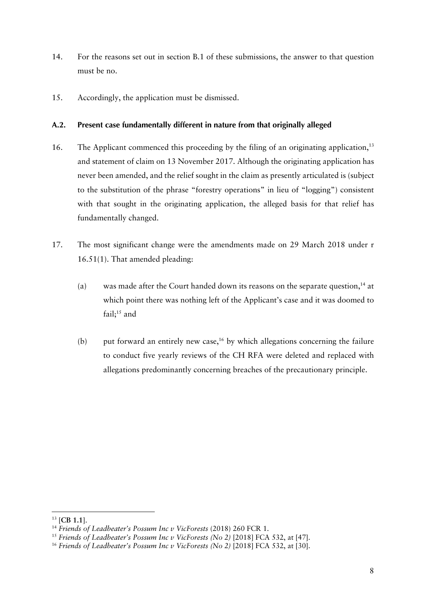- 14. For the reasons set out in section B.1 of these submissions, the answer to that question must be no.
- 15. Accordingly, the application must be dismissed.

## **A.2. Present case fundamentally different in nature from that originally alleged**

- 16. The Applicant commenced this proceeding by the filing of an originating application,<sup>13</sup> and statement of claim on 13 November 2017. Although the originating application has never been amended, and the relief sought in the claim as presently articulated is (subject to the substitution of the phrase "forestry operations" in lieu of "logging") consistent with that sought in the originating application, the alleged basis for that relief has fundamentally changed.
- 17. The most significant change were the amendments made on 29 March 2018 under r 16.51(1). That amended pleading:
	- (a) was made after the Court handed down its reasons on the separate question,  $14$  at which point there was nothing left of the Applicant's case and it was doomed to fail; $15$  and
	- (b) put forward an entirely new case, <sup>16</sup> by which allegations concerning the failure to conduct five yearly reviews of the CH RFA were deleted and replaced with allegations predominantly concerning breaches of the precautionary principle.

<sup>13</sup> [**CB 1.1**].

<sup>&</sup>lt;sup>14</sup> Friends of Leadbeater's Possum Inc v VicForests (2018) 260 FCR 1.

<sup>&</sup>lt;sup>15</sup> Friends of Leadbeater's Possum Inc v VicForests (No 2) [2018] FCA 532, at [47].

<sup>&</sup>lt;sup>16</sup> Friends of Leadbeater's Possum Inc v VicForests (No 2) [2018] FCA 532, at [30].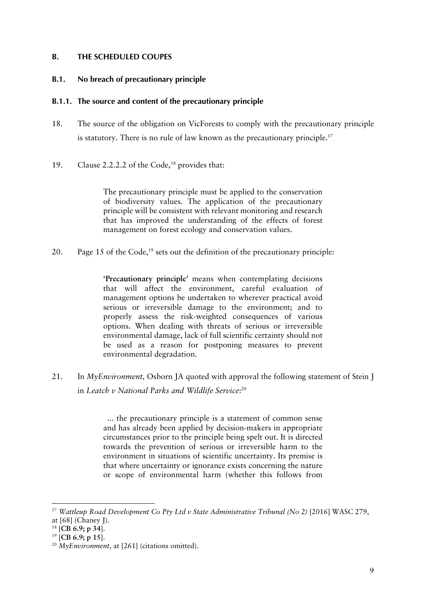## **B. THE SCHEDULED COUPES**

#### **B.1. No breach of precautionary principle**

#### **B.1.1. The source and content of the precautionary principle**

- 18. The source of the obligation on VicForests to comply with the precautionary principle is statutory. There is no rule of law known as the precautionary principle.<sup>17</sup>
- 19. Clause 2.2.2.2 of the Code, <sup>18</sup> provides that:

The precautionary principle must be applied to the conservation of biodiversity values. The application of the precautionary principle will be consistent with relevant monitoring and research that has improved the understanding of the effects of forest management on forest ecology and conservation values.

20. Page 15 of the Code, <sup>19</sup> sets out the definition of the precautionary principle:

**'Precautionary principle'** means when contemplating decisions that will affect the environment, careful evaluation of management options be undertaken to wherever practical avoid serious or irreversible damage to the environment; and to properly assess the risk-weighted consequences of various options. When dealing with threats of serious or irreversible environmental damage, lack of full scientific certainty should not be used as a reason for postponing measures to prevent environmental degradation.

21. In *MyEnvironment,* Osborn JA quoted with approval the following statement of Stein J in *Leatch v National Parks and Wildlife Service*: 20

> ... the precautionary principle is a statement of common sense and has already been applied by decision-makers in appropriate circumstances prior to the principle being spelt out. It is directed towards the prevention of serious or irreversible harm to the environment in situations of scientific uncertainty. Its premise is that where uncertainty or ignorance exists concerning the nature or scope of environmental harm (whether this follows from

<sup>&</sup>lt;sup>17</sup> Wattleup Road Development Co Pty Ltd v State Administrative Tribunal (No 2) [2016] WASC 279, at [68] (Chaney J).

<sup>18</sup> [**CB 6.9; p 34**].

<sup>19</sup> [**CB 6.9; p 15**].

<sup>20</sup> *MyEnvironment*, at [261] (citations omitted).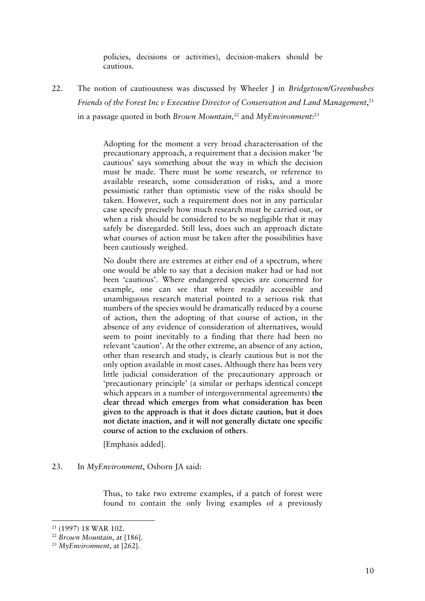policies, decisions or activities), decision-makers should be cautious.

22. The notion of cautiousness was discussed by Wheeler J in *Bridgetown/Greenbushes Friends of the Forest Inc v Executive Director of Conservation and Land Management*, 21 in a passage quoted in both *Brown Mountain, <sup>22</sup>* and *MyEnvironment*: 23

> Adopting for the moment a very broad characterisation of the precautionary approach, a requirement that a decision maker 'be cautious' says something about the way in which the decision must be made. There must be some research, or reference to available research, some consideration of risks, and a more pessimistic rather than optimistic view of the risks should be taken. However, such a requirement does not in any particular case specify precisely how much research must be carried out, or when a risk should be considered to be so negligible that it may safely be disregarded. Still less, does such an approach dictate what courses of action must be taken after the possibilities have been cautiously weighed.

> No doubt there are extremes at either end of a spectrum, where one would be able to say that a decision maker had or had not been 'cautious'. Where endangered species are concerned for example, one can see that where readily accessible and unambiguous research material pointed to a serious risk that numbers of the species would be dramatically reduced by a course of action, then the adopting of that course of action, in the absence of any evidence of consideration of alternatives, would seem to point inevitably to a finding that there had been no relevant 'caution'. At the other extreme, an absence of any action, other than research and study, is clearly cautious but is not the only option available in most cases. Although there has been very little judicial consideration of the precautionary approach or 'precautionary principle' (a similar or perhaps identical concept which appears in a number of intergovernmental agreements) **the clear thread which emerges from what consideration has been given to the approach is that it does dictate caution, but it does not dictate inaction, and it will not generally dictate one specific course of action to the exclusion of others**.

[Emphasis added].

23. In *MyEnvironment*, Osborn JA said:

Thus, to take two extreme examples, if a patch of forest were found to contain the only living examples of a previously

<sup>21</sup> (1997) 18 WAR 102. 22 *Brown Mountain*, at [186].

<sup>23</sup> *MyEnvironment*, at [262].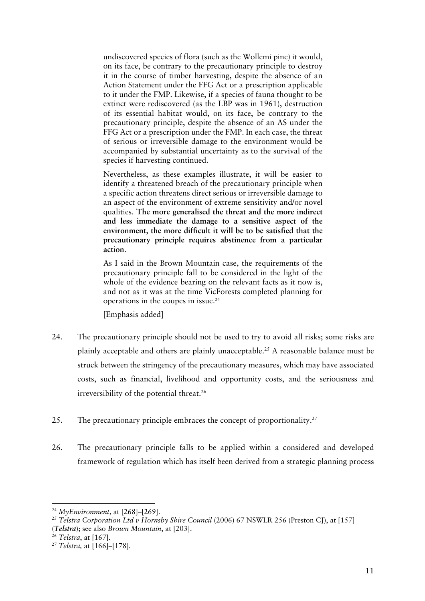undiscovered species of flora (such as the Wollemi pine) it would, on its face, be contrary to the precautionary principle to destroy it in the course of timber harvesting, despite the absence of an Action Statement under the FFG Act or a prescription applicable to it under the FMP. Likewise, if a species of fauna thought to be extinct were rediscovered (as the LBP was in 1961), destruction of its essential habitat would, on its face, be contrary to the precautionary principle, despite the absence of an AS under the FFG Act or a prescription under the FMP. In each case, the threat of serious or irreversible damage to the environment would be accompanied by substantial uncertainty as to the survival of the species if harvesting continued.

Nevertheless, as these examples illustrate, it will be easier to identify a threatened breach of the precautionary principle when a specific action threatens direct serious or irreversible damage to an aspect of the environment of extreme sensitivity and/or novel qualities. **The more generalised the threat and the more indirect and less immediate the damage to a sensitive aspect of the environment, the more difficult it will be to be satisfied that the precautionary principle requires abstinence from a particular action**.

As I said in the Brown Mountain case, the requirements of the precautionary principle fall to be considered in the light of the whole of the evidence bearing on the relevant facts as it now is, and not as it was at the time VicForests completed planning for operations in the coupes in issue.24

[Emphasis added]

- 24. The precautionary principle should not be used to try to avoid all risks; some risks are plainly acceptable and others are plainly unacceptable.25 A reasonable balance must be struck between the stringency of the precautionary measures, which may have associated costs, such as financial, livelihood and opportunity costs, and the seriousness and irreversibility of the potential threat.<sup>26</sup>
- 25. The precautionary principle embraces the concept of proportionality.<sup>27</sup>
- 26. The precautionary principle falls to be applied within a considered and developed framework of regulation which has itself been derived from a strategic planning process

 <sup>24</sup> *MyEnvironment*, at [268]–[269].

<sup>&</sup>lt;sup>25</sup> Telstra Corporation Ltd v Hornsby Shire Council (2006) 67 NSWLR 256 (Preston CJ), at [157] (*Telstra*); see also *Brown Mountain*, at [203].

<sup>26</sup> *Telstra*, at [167].

<sup>27</sup> *Telstra,* at [166]–[178].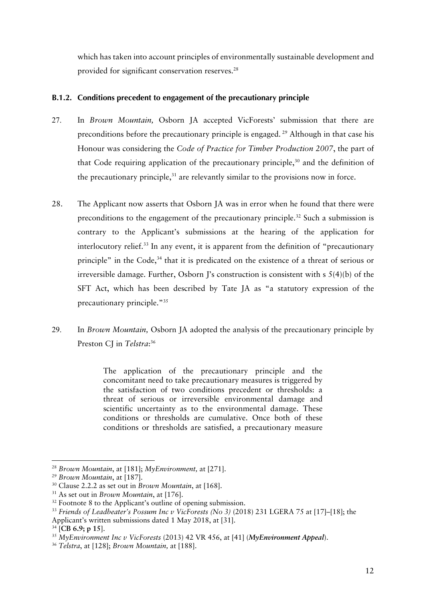which has taken into account principles of environmentally sustainable development and provided for significant conservation reserves.<sup>28</sup>

## **B.1.2. Conditions precedent to engagement of the precautionary principle**

- 27. In *Brown Mountain,* Osborn JA accepted VicForests' submission that there are preconditions before the precautionary principle is engaged.<sup>29</sup> Although in that case his Honour was considering the *Code of Practice for Timber Production 2007*, the part of that Code requiring application of the precautionary principle, $30$  and the definition of the precautionary principle, $31$  are relevantly similar to the provisions now in force.
- 28. The Applicant now asserts that Osborn JA was in error when he found that there were preconditions to the engagement of the precautionary principle.<sup>32</sup> Such a submission is contrary to the Applicant's submissions at the hearing of the application for interlocutory relief.33 In any event, it is apparent from the definition of "precautionary principle" in the Code,<sup>34</sup> that it is predicated on the existence of a threat of serious or irreversible damage. Further, Osborn J's construction is consistent with s 5(4)(b) of the SFT Act, which has been described by Tate JA as "a statutory expression of the precautionary principle."35
- 29. In *Brown Mountain,* Osborn JA adopted the analysis of the precautionary principle by Preston CJ in *Telstra*: 36

The application of the precautionary principle and the concomitant need to take precautionary measures is triggered by the satisfaction of two conditions precedent or thresholds: a threat of serious or irreversible environmental damage and scientific uncertainty as to the environmental damage. These conditions or thresholds are cumulative. Once both of these conditions or thresholds are satisfied, a precautionary measure

<sup>28</sup> *Brown Mountain*, at [181]; *MyEnvironment,* at [271].

<sup>29</sup> *Brown Mountain*, at [187].

<sup>30</sup> Clause 2.2.2 as set out in *Brown Mountain*, at [168].

<sup>31</sup> As set out in *Brown Mountain*, at [176].

<sup>&</sup>lt;sup>32</sup> Footnote 8 to the Applicant's outline of opening submission.

<sup>&</sup>lt;sup>33</sup> Friends of Leadbeater's Possum Inc v VicForests (No 3) (2018) 231 LGERA 75 at [17]–[18]; the Applicant's written submissions dated 1 May 2018, at [31].

<sup>34</sup> [**CB 6.9; p 15**].

<sup>35</sup> *MyEnvironment Inc v VicForests* (2013) 42 VR 456, at [41] (*MyEnvironment Appeal*).

<sup>36</sup> *Telstra*, at [128]; *Brown Mountain,* at [188].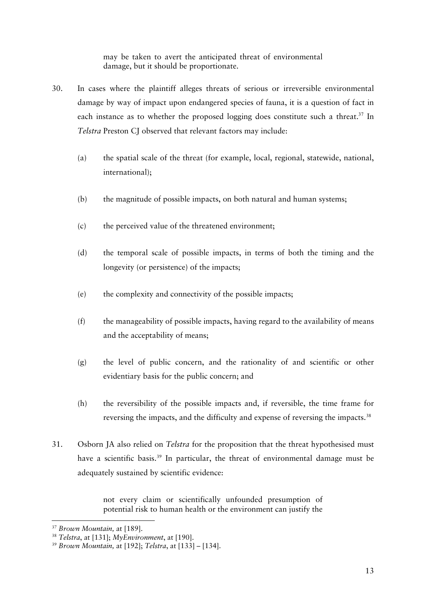may be taken to avert the anticipated threat of environmental damage, but it should be proportionate.

- 30. In cases where the plaintiff alleges threats of serious or irreversible environmental damage by way of impact upon endangered species of fauna, it is a question of fact in each instance as to whether the proposed logging does constitute such a threat.<sup>37</sup> In *Telstra* Preston CJ observed that relevant factors may include:
	- (a) the spatial scale of the threat (for example, local, regional, statewide, national, international);
	- (b) the magnitude of possible impacts, on both natural and human systems;
	- (c) the perceived value of the threatened environment;
	- (d) the temporal scale of possible impacts, in terms of both the timing and the longevity (or persistence) of the impacts;
	- (e) the complexity and connectivity of the possible impacts;
	- (f) the manageability of possible impacts, having regard to the availability of means and the acceptability of means;
	- (g) the level of public concern, and the rationality of and scientific or other evidentiary basis for the public concern; and
	- (h) the reversibility of the possible impacts and, if reversible, the time frame for reversing the impacts, and the difficulty and expense of reversing the impacts.<sup>38</sup>
- 31. Osborn JA also relied on *Telstra* for the proposition that the threat hypothesised must have a scientific basis.<sup>39</sup> In particular, the threat of environmental damage must be adequately sustained by scientific evidence:

not every claim or scientifically unfounded presumption of potential risk to human health or the environment can justify the

<sup>37</sup> *Brown Mountain,* at [189].

<sup>38</sup> *Telstra*, at [131]; *MyEnvironment*, at [190].

<sup>39</sup> *Brown Mountain,* at [192]; *Telstra*, at [133] – [134].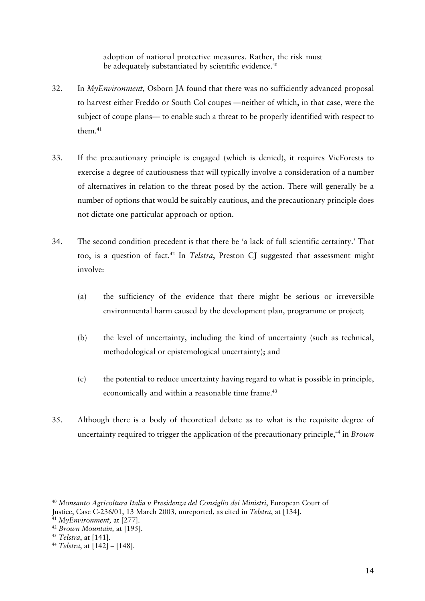adoption of national protective measures. Rather, the risk must be adequately substantiated by scientific evidence.<sup>40</sup>

- 32. In *MyEnvironment,* Osborn JA found that there was no sufficiently advanced proposal to harvest either Freddo or South Col coupes —neither of which, in that case, were the subject of coupe plans— to enable such a threat to be properly identified with respect to them $41$
- 33. If the precautionary principle is engaged (which is denied), it requires VicForests to exercise a degree of cautiousness that will typically involve a consideration of a number of alternatives in relation to the threat posed by the action. There will generally be a number of options that would be suitably cautious, and the precautionary principle does not dictate one particular approach or option.
- 34. The second condition precedent is that there be 'a lack of full scientific certainty.' That too, is a question of fact. <sup>42</sup> In *Telstra*, Preston CJ suggested that assessment might involve:
	- (a) the sufficiency of the evidence that there might be serious or irreversible environmental harm caused by the development plan, programme or project;
	- (b) the level of uncertainty, including the kind of uncertainty (such as technical, methodological or epistemological uncertainty); and
	- (c) the potential to reduce uncertainty having regard to what is possible in principle, economically and within a reasonable time frame.<sup>43</sup>
- 35. Although there is a body of theoretical debate as to what is the requisite degree of uncertainty required to trigger the application of the precautionary principle,<sup>44</sup> in *Brown*

<sup>40</sup> *Monsanto Agricoltura Italia v Presidenza del Consiglio dei Ministri*, European Court of Justice, Case C-236/01, 13 March 2003, unreported, as cited in *Telstra*, at [134].

<sup>41</sup> *MyEnvironment,* at [277].

<sup>42</sup> *Brown Mountain,* at [195].

<sup>43</sup> *Telstra*, at [141].

<sup>44</sup> *Telstra*, at [142] – [148].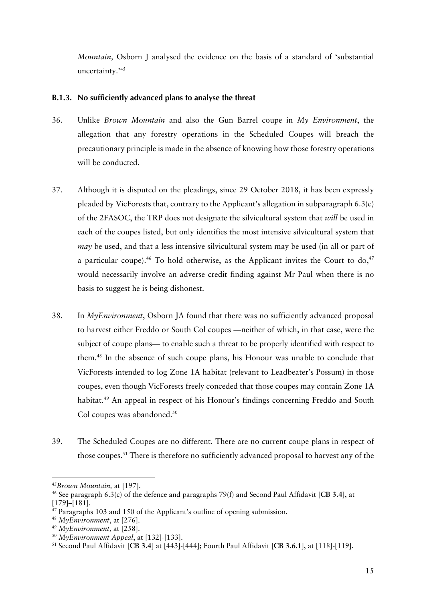*Mountain,* Osborn J analysed the evidence on the basis of a standard of 'substantial uncertainty.'45

## **B.1.3. No sufficiently advanced plans to analyse the threat**

- 36. Unlike *Brown Mountain* and also the Gun Barrel coupe in *My Environment*, the allegation that any forestry operations in the Scheduled Coupes will breach the precautionary principle is made in the absence of knowing how those forestry operations will be conducted.
- 37. Although it is disputed on the pleadings, since 29 October 2018, it has been expressly pleaded by VicForests that, contrary to the Applicant's allegation in subparagraph 6.3(c) of the 2FASOC, the TRP does not designate the silvicultural system that *will* be used in each of the coupes listed, but only identifies the most intensive silvicultural system that *may* be used, and that a less intensive silvicultural system may be used (in all or part of a particular coupe).<sup>46</sup> To hold otherwise, as the Applicant invites the Court to  $do$ ,  $47$ would necessarily involve an adverse credit finding against Mr Paul when there is no basis to suggest he is being dishonest.
- 38. In *MyEnvironment*, Osborn JA found that there was no sufficiently advanced proposal to harvest either Freddo or South Col coupes —neither of which, in that case, were the subject of coupe plans— to enable such a threat to be properly identified with respect to them.48 In the absence of such coupe plans, his Honour was unable to conclude that VicForests intended to log Zone 1A habitat (relevant to Leadbeater's Possum) in those coupes, even though VicForests freely conceded that those coupes may contain Zone 1A habitat.<sup>49</sup> An appeal in respect of his Honour's findings concerning Freddo and South Col coupes was abandoned.<sup>50</sup>
- 39. The Scheduled Coupes are no different. There are no current coupe plans in respect of those coupes.51 There is therefore no sufficiently advanced proposal to harvest any of the

 

<sup>49</sup> *MyEnvironment,* at [258].

<sup>45</sup>*Brown Mountain,* at [197].

<sup>46</sup> See paragraph 6.3(c) of the defence and paragraphs 79(f) and Second Paul Affidavit [**CB 3.4**], at [179]–[181].

<sup>47</sup> Paragraphs 103 and 150 of the Applicant's outline of opening submission.

<sup>48</sup> *MyEnvironment*, at [276].

<sup>50</sup> *MyEnvironment Appeal*, at [132]-[133].

<sup>51</sup> Second Paul Affidavit [**CB 3.4**] at [443]-[444]; Fourth Paul Affidavit [**CB 3.6.1**], at [118]-[119].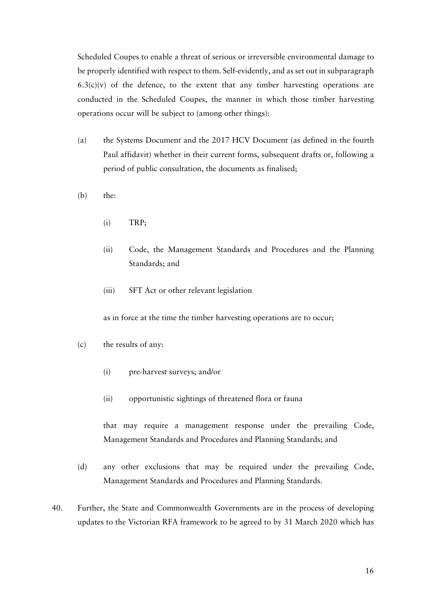Scheduled Coupes to enable a threat of serious or irreversible environmental damage to be properly identified with respect to them. Self-evidently, and as set out in subparagraph  $6.3(c)(v)$  of the defence, to the extent that any timber harvesting operations are conducted in the Scheduled Coupes, the manner in which those timber harvesting operations occur will be subject to (among other things):

- (a) the Systems Document and the 2017 HCV Document (as defined in the fourth Paul affidavit) whether in their current forms, subsequent drafts or, following a period of public consultation, the documents as finalised;
- (b) the:
	- (i) TRP;
	- (ii) Code, the Management Standards and Procedures and the Planning Standards; and
	- (iii) SFT Act or other relevant legislation

as in force at the time the timber harvesting operations are to occur;

- (c) the results of any:
	- (i) pre-harvest surveys; and/or
	- (ii) opportunistic sightings of threatened flora or fauna

that may require a management response under the prevailing Code, Management Standards and Procedures and Planning Standards; and

- (d) any other exclusions that may be required under the prevailing Code, Management Standards and Procedures and Planning Standards.
- 40. Further, the State and Commonwealth Governments are in the process of developing updates to the Victorian RFA framework to be agreed to by 31 March 2020 which has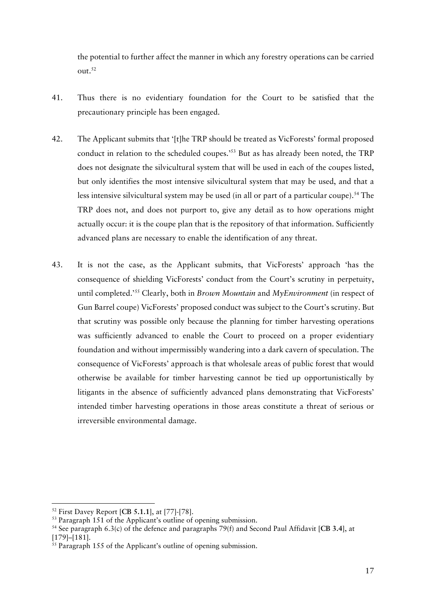the potential to further affect the manner in which any forestry operations can be carried  $out.<sup>52</sup>$ 

- 41. Thus there is no evidentiary foundation for the Court to be satisfied that the precautionary principle has been engaged.
- 42. The Applicant submits that '[t]he TRP should be treated as VicForests' formal proposed conduct in relation to the scheduled coupes.'53 But as has already been noted, the TRP does not designate the silvicultural system that will be used in each of the coupes listed, but only identifies the most intensive silvicultural system that may be used, and that a less intensive silvicultural system may be used (in all or part of a particular coupe).<sup>54</sup> The TRP does not, and does not purport to, give any detail as to how operations might actually occur: it is the coupe plan that is the repository of that information. Sufficiently advanced plans are necessary to enable the identification of any threat.
- 43. It is not the case, as the Applicant submits, that VicForests' approach 'has the consequence of shielding VicForests' conduct from the Court's scrutiny in perpetuity, until completed.'55 Clearly, both in *Brown Mountain* and *MyEnvironment* (in respect of Gun Barrel coupe) VicForests' proposed conduct was subject to the Court's scrutiny. But that scrutiny was possible only because the planning for timber harvesting operations was sufficiently advanced to enable the Court to proceed on a proper evidentiary foundation and without impermissibly wandering into a dark cavern of speculation. The consequence of VicForests' approach is that wholesale areas of public forest that would otherwise be available for timber harvesting cannot be tied up opportunistically by litigants in the absence of sufficiently advanced plans demonstrating that VicForests' intended timber harvesting operations in those areas constitute a threat of serious or irreversible environmental damage.

<sup>52</sup> First Davey Report [**CB 5.1.1**], at [77]-[78].

<sup>&</sup>lt;sup>53</sup> Paragraph 151 of the Applicant's outline of opening submission.

<sup>54</sup> See paragraph 6.3(c) of the defence and paragraphs 79(f) and Second Paul Affidavit [**CB 3.4**], at [179]–[181].

<sup>&</sup>lt;sup>55</sup> Paragraph 155 of the Applicant's outline of opening submission.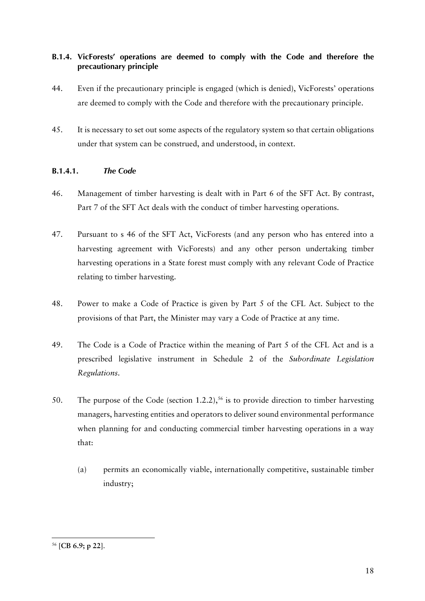# **B.1.4. VicForests' operations are deemed to comply with the Code and therefore the precautionary principle**

- 44. Even if the precautionary principle is engaged (which is denied), VicForests' operations are deemed to comply with the Code and therefore with the precautionary principle.
- 45. It is necessary to set out some aspects of the regulatory system so that certain obligations under that system can be construed, and understood, in context.

# **B.1.4.1.** *The Code*

- 46. Management of timber harvesting is dealt with in Part 6 of the SFT Act. By contrast, Part 7 of the SFT Act deals with the conduct of timber harvesting operations.
- 47. Pursuant to s 46 of the SFT Act, VicForests (and any person who has entered into a harvesting agreement with VicForests) and any other person undertaking timber harvesting operations in a State forest must comply with any relevant Code of Practice relating to timber harvesting.
- 48. Power to make a Code of Practice is given by Part 5 of the CFL Act. Subject to the provisions of that Part, the Minister may vary a Code of Practice at any time.
- 49. The Code is a Code of Practice within the meaning of Part 5 of the CFL Act and is a prescribed legislative instrument in Schedule 2 of the *Subordinate Legislation Regulations*.
- 50. The purpose of the Code (section 1.2.2), <sup>56</sup> is to provide direction to timber harvesting managers, harvesting entities and operators to deliver sound environmental performance when planning for and conducting commercial timber harvesting operations in a way that:
	- (a) permits an economically viable, internationally competitive, sustainable timber industry;

<sup>56</sup> [**CB 6.9; p 22**].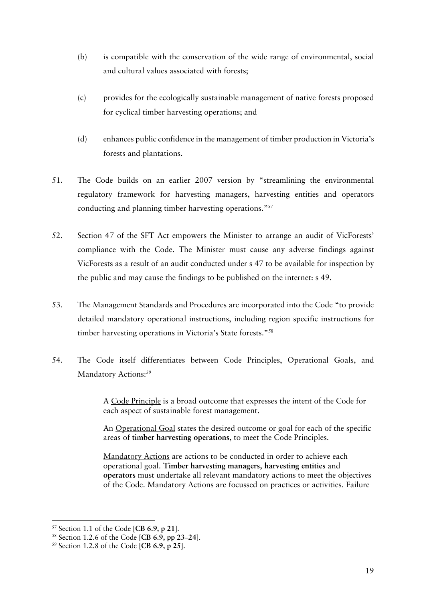- (b) is compatible with the conservation of the wide range of environmental, social and cultural values associated with forests;
- (c) provides for the ecologically sustainable management of native forests proposed for cyclical timber harvesting operations; and
- (d) enhances public confidence in the management of timber production in Victoria's forests and plantations.
- 51. The Code builds on an earlier 2007 version by "streamlining the environmental regulatory framework for harvesting managers, harvesting entities and operators conducting and planning timber harvesting operations."57
- 52. Section 47 of the SFT Act empowers the Minister to arrange an audit of VicForests' compliance with the Code. The Minister must cause any adverse findings against VicForests as a result of an audit conducted under s 47 to be available for inspection by the public and may cause the findings to be published on the internet: s 49.
- 53. The Management Standards and Procedures are incorporated into the Code "to provide detailed mandatory operational instructions, including region specific instructions for timber harvesting operations in Victoria's State forests."58
- 54. The Code itself differentiates between Code Principles, Operational Goals, and Mandatory Actions:<sup>59</sup>

A Code Principle is a broad outcome that expresses the intent of the Code for each aspect of sustainable forest management.

An Operational Goal states the desired outcome or goal for each of the specific areas of **timber harvesting operations**, to meet the Code Principles.

Mandatory Actions are actions to be conducted in order to achieve each operational goal. **Timber harvesting managers, harvesting entities** and **operators** must undertake all relevant mandatory actions to meet the objectives of the Code. Mandatory Actions are focussed on practices or activities. Failure

<sup>57</sup> Section 1.1 of the Code [**CB 6.9, p 21**].

<sup>58</sup> Section 1.2.6 of the Code [**CB 6.9, pp 23–24**].

<sup>59</sup> Section 1.2.8 of the Code [**CB 6.9, p 25**].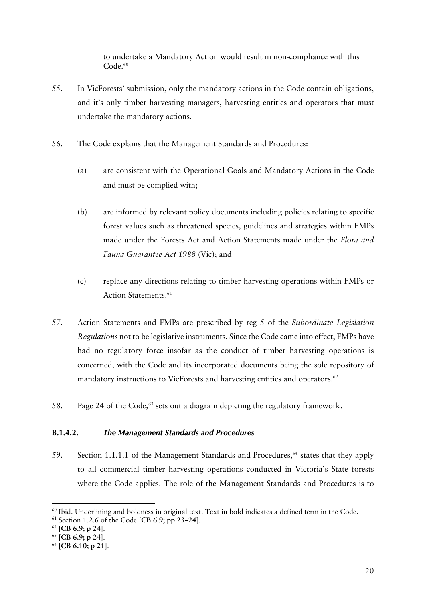to undertake a Mandatory Action would result in non-compliance with this Code.<sup>60</sup>

- 55. In VicForests' submission, only the mandatory actions in the Code contain obligations, and it's only timber harvesting managers, harvesting entities and operators that must undertake the mandatory actions.
- 56. The Code explains that the Management Standards and Procedures:
	- (a) are consistent with the Operational Goals and Mandatory Actions in the Code and must be complied with;
	- (b) are informed by relevant policy documents including policies relating to specific forest values such as threatened species, guidelines and strategies within FMPs made under the Forests Act and Action Statements made under the *Flora and Fauna Guarantee Act 1988* (Vic); and
	- (c) replace any directions relating to timber harvesting operations within FMPs or Action Statements.<sup>61</sup>
- 57. Action Statements and FMPs are prescribed by reg 5 of the *Subordinate Legislation Regulations* not to be legislative instruments. Since the Code came into effect, FMPs have had no regulatory force insofar as the conduct of timber harvesting operations is concerned, with the Code and its incorporated documents being the sole repository of mandatory instructions to VicForests and harvesting entities and operators.<sup>62</sup>
- 58. Page 24 of the Code, <sup>63</sup> sets out a diagram depicting the regulatory framework.

## **B.1.4.2.** *The Management Standards and Procedures*

59. Section 1.1.1.1 of the Management Standards and Procedures,<sup>64</sup> states that they apply to all commercial timber harvesting operations conducted in Victoria's State forests where the Code applies. The role of the Management Standards and Procedures is to

<sup>60</sup> Ibid. Underlining and boldness in original text. Text in bold indicates a defined term in the Code. 61 Section 1.2.6 of the Code [**CB 6.9; pp 23–24**].

<sup>62</sup> [**CB 6.9; p 24**].

<sup>63</sup> [**CB 6.9; p 24**].

<sup>64</sup> [**CB 6.10; p 21**].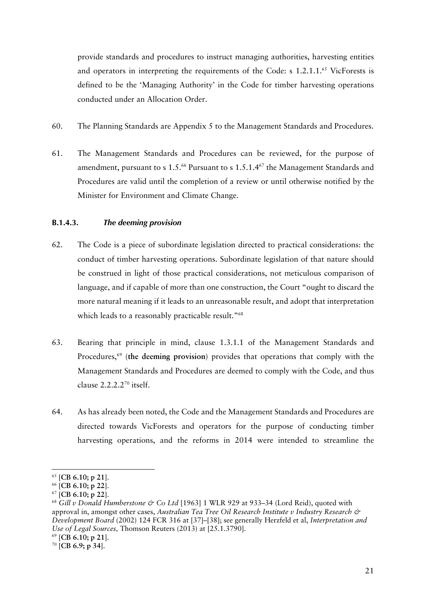provide standards and procedures to instruct managing authorities, harvesting entities and operators in interpreting the requirements of the Code: s 1.2.1.1.<sup>65</sup> VicForests is defined to be the 'Managing Authority' in the Code for timber harvesting operations conducted under an Allocation Order.

- 60. The Planning Standards are Appendix 5 to the Management Standards and Procedures.
- 61. The Management Standards and Procedures can be reviewed, for the purpose of amendment, pursuant to s  $1.5^{66}$  Pursuant to s  $1.5.1.4^{67}$  the Management Standards and Procedures are valid until the completion of a review or until otherwise notified by the Minister for Environment and Climate Change.

## **B.1.4.3.** *The deeming provision*

- 62. The Code is a piece of subordinate legislation directed to practical considerations: the conduct of timber harvesting operations. Subordinate legislation of that nature should be construed in light of those practical considerations, not meticulous comparison of language, and if capable of more than one construction, the Court "ought to discard the more natural meaning if it leads to an unreasonable result, and adopt that interpretation which leads to a reasonably practicable result."<sup>68</sup>
- 63. Bearing that principle in mind, clause 1.3.1.1 of the Management Standards and Procedures, <sup>69</sup> (**the deeming provision**) provides that operations that comply with the Management Standards and Procedures are deemed to comply with the Code, and thus clause  $2.2.2.2^{70}$  itself.
- 64. As has already been noted, the Code and the Management Standards and Procedures are directed towards VicForests and operators for the purpose of conducting timber harvesting operations, and the reforms in 2014 were intended to streamline the

<sup>65</sup> [**CB 6.10; p 21**].

<sup>66</sup> [**CB 6.10; p 22**].

<sup>67</sup> [**CB 6.10; p 22**].

<sup>68</sup> *Gill v Donald Humberstone & Co Ltd* [1963] 1 WLR 929 at 933–34 (Lord Reid), quoted with approval in, amongst other cases, *Australian Tea Tree Oil Research Institute v Industry Research & Development Board* (2002) 124 FCR 316 at [37]–[38]; see generally Herzfeld et al, *Interpretation and Use of Legal Sources,* Thomson Reuters (2013) at [25.1.3790].

<sup>69</sup> [**CB 6.10; p 21**].

<sup>70</sup> [**CB 6.9; p 34**].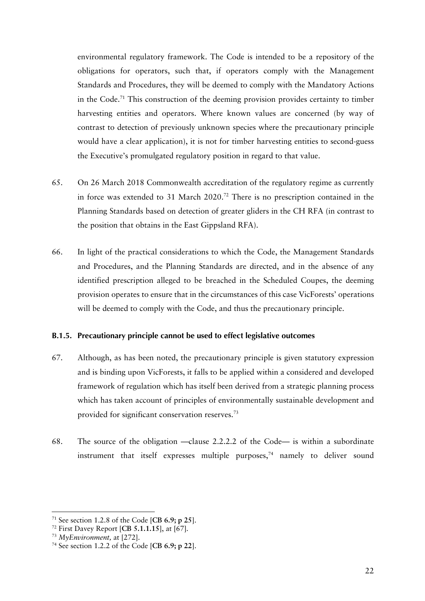environmental regulatory framework. The Code is intended to be a repository of the obligations for operators, such that, if operators comply with the Management Standards and Procedures, they will be deemed to comply with the Mandatory Actions in the Code.71 This construction of the deeming provision provides certainty to timber harvesting entities and operators. Where known values are concerned (by way of contrast to detection of previously unknown species where the precautionary principle would have a clear application), it is not for timber harvesting entities to second-guess the Executive's promulgated regulatory position in regard to that value.

- 65. On 26 March 2018 Commonwealth accreditation of the regulatory regime as currently in force was extended to 31 March 2020.72 There is no prescription contained in the Planning Standards based on detection of greater gliders in the CH RFA (in contrast to the position that obtains in the East Gippsland RFA).
- 66. In light of the practical considerations to which the Code, the Management Standards and Procedures, and the Planning Standards are directed, and in the absence of any identified prescription alleged to be breached in the Scheduled Coupes, the deeming provision operates to ensure that in the circumstances of this case VicForests' operations will be deemed to comply with the Code, and thus the precautionary principle.

## **B.1.5. Precautionary principle cannot be used to effect legislative outcomes**

- 67. Although, as has been noted, the precautionary principle is given statutory expression and is binding upon VicForests, it falls to be applied within a considered and developed framework of regulation which has itself been derived from a strategic planning process which has taken account of principles of environmentally sustainable development and provided for significant conservation reserves.73
- 68. The source of the obligation —clause 2.2.2.2 of the Code— is within a subordinate instrument that itself expresses multiple purposes, <sup>74</sup> namely to deliver sound

<sup>71</sup> See section 1.2.8 of the Code [**CB 6.9; p 25**].

<sup>72</sup> First Davey Report [**CB 5.1.1.15**], at [67].

<sup>73</sup> *MyEnvironment,* at [272].

<sup>74</sup> See section 1.2.2 of the Code [**CB 6.9; p 22**].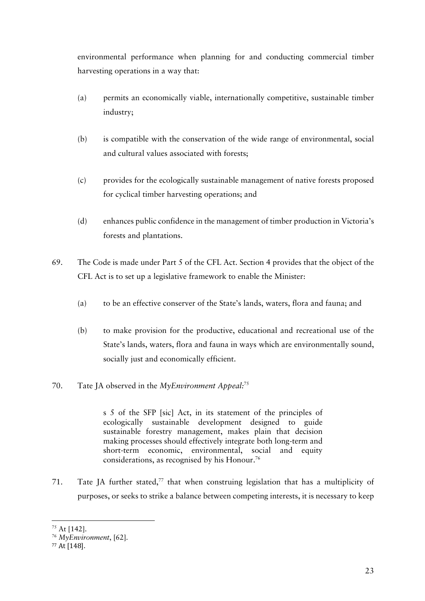environmental performance when planning for and conducting commercial timber harvesting operations in a way that:

- (a) permits an economically viable, internationally competitive, sustainable timber industry;
- (b) is compatible with the conservation of the wide range of environmental, social and cultural values associated with forests;
- (c) provides for the ecologically sustainable management of native forests proposed for cyclical timber harvesting operations; and
- (d) enhances public confidence in the management of timber production in Victoria's forests and plantations.
- 69. The Code is made under Part 5 of the CFL Act. Section 4 provides that the object of the CFL Act is to set up a legislative framework to enable the Minister:
	- (a) to be an effective conserver of the State's lands, waters, flora and fauna; and
	- (b) to make provision for the productive, educational and recreational use of the State's lands, waters, flora and fauna in ways which are environmentally sound, socially just and economically efficient.
- 70. Tate JA observed in the *MyEnvironment Appeal:*<sup>75</sup>

s 5 of the SFP [sic] Act, in its statement of the principles of ecologically sustainable development designed to guide sustainable forestry management, makes plain that decision making processes should effectively integrate both long-term and short-term economic, environmental, social and equity considerations, as recognised by his Honour.76

71. Tate JA further stated, <sup>77</sup> that when construing legislation that has a multiplicity of purposes, or seeks to strike a balance between competing interests, it is necessary to keep

 <sup>75</sup> At [142].

<sup>76</sup> *MyEnvironment*, [62].

 $77$  At [148].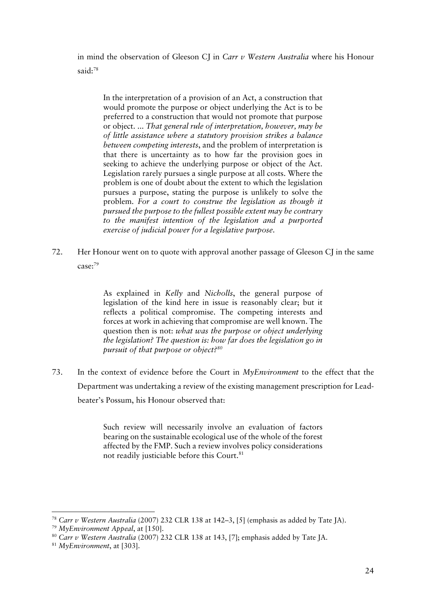in mind the observation of Gleeson CJ in *Carr v Western Australia* where his Honour said:78

In the interpretation of a provision of an Act, a construction that would promote the purpose or object underlying the Act is to be preferred to a construction that would not promote that purpose or object. ... *That general rule of interpretation, however, may be of little assistance where a statutory provision strikes a balance between competing interests*, and the problem of interpretation is that there is uncertainty as to how far the provision goes in seeking to achieve the underlying purpose or object of the Act. Legislation rarely pursues a single purpose at all costs. Where the problem is one of doubt about the extent to which the legislation pursues a purpose, stating the purpose is unlikely to solve the problem. *For a court to construe the legislation as though it pursued the purpose to the fullest possible extent may be contrary to the manifest intention of the legislation and a purported exercise of judicial power for a legislative purpose*.

72. Her Honour went on to quote with approval another passage of Gleeson CJ in the same case:79

> As explained in *Kelly* and *Nicholls*, the general purpose of legislation of the kind here in issue is reasonably clear; but it reflects a political compromise. The competing interests and forces at work in achieving that compromise are well known. The question then is not: *what was the purpose or object underlying the legislation? The question is: how far does the legislation go in pursuit of that purpose or object?80*

73. In the context of evidence before the Court in *MyEnvironment* to the effect that the Department was undertaking a review of the existing management prescription for Leadbeater's Possum, his Honour observed that:

> Such review will necessarily involve an evaluation of factors bearing on the sustainable ecological use of the whole of the forest affected by the FMP. Such a review involves policy considerations not readily justiciable before this Court.<sup>81</sup>

<sup>78</sup> *Carr v Western Australia* (2007) 232 CLR 138 at 142–3, [5] (emphasis as added by Tate JA).

<sup>79</sup> *MyEnvironment Appeal*, at [150].

<sup>80</sup> *Carr v Western Australia* (2007) 232 CLR 138 at 143, [7]; emphasis added by Tate JA.

<sup>81</sup> *MyEnvironment*, at [303].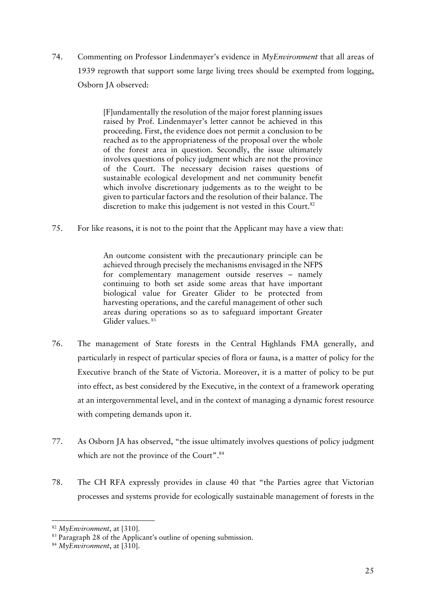74. Commenting on Professor Lindenmayer's evidence in *MyEnvironment* that all areas of 1939 regrowth that support some large living trees should be exempted from logging, Osborn JA observed:

> [F]undamentally the resolution of the major forest planning issues raised by Prof. Lindenmayer's letter cannot be achieved in this proceeding. First, the evidence does not permit a conclusion to be reached as to the appropriateness of the proposal over the whole of the forest area in question. Secondly, the issue ultimately involves questions of policy judgment which are not the province of the Court. The necessary decision raises questions of sustainable ecological development and net community benefit which involve discretionary judgements as to the weight to be given to particular factors and the resolution of their balance. The discretion to make this judgement is not vested in this Court.<sup>82</sup>

75. For like reasons, it is not to the point that the Applicant may have a view that:

An outcome consistent with the precautionary principle can be achieved through precisely the mechanisms envisaged in the NFPS for complementary management outside reserves – namely continuing to both set aside some areas that have important biological value for Greater Glider to be protected from harvesting operations, and the careful management of other such areas during operations so as to safeguard important Greater Glider values.<sup>83</sup>

- 76. The management of State forests in the Central Highlands FMA generally, and particularly in respect of particular species of flora or fauna, is a matter of policy for the Executive branch of the State of Victoria. Moreover, it is a matter of policy to be put into effect, as best considered by the Executive, in the context of a framework operating at an intergovernmental level, and in the context of managing a dynamic forest resource with competing demands upon it.
- 77. As Osborn JA has observed, "the issue ultimately involves questions of policy judgment which are not the province of the Court".<sup>84</sup>
- 78. The CH RFA expressly provides in clause 40 that "the Parties agree that Victorian processes and systems provide for ecologically sustainable management of forests in the

<sup>82</sup> *MyEnvironment*, at [310].

<sup>&</sup>lt;sup>83</sup> Paragraph 28 of the Applicant's outline of opening submission.

<sup>84</sup> *MyEnvironment*, at [310].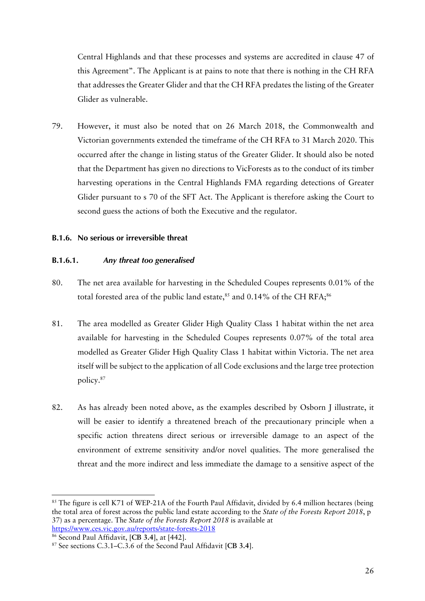Central Highlands and that these processes and systems are accredited in clause 47 of this Agreement". The Applicant is at pains to note that there is nothing in the CH RFA that addresses the Greater Glider and that the CH RFA predates the listing of the Greater Glider as vulnerable.

79. However, it must also be noted that on 26 March 2018, the Commonwealth and Victorian governments extended the timeframe of the CH RFA to 31 March 2020. This occurred after the change in listing status of the Greater Glider. It should also be noted that the Department has given no directions to VicForests as to the conduct of its timber harvesting operations in the Central Highlands FMA regarding detections of Greater Glider pursuant to s 70 of the SFT Act. The Applicant is therefore asking the Court to second guess the actions of both the Executive and the regulator.

### **B.1.6. No serious or irreversible threat**

#### **B.1.6.1.** *Any threat too generalised*

- 80. The net area available for harvesting in the Scheduled Coupes represents 0.01% of the total forested area of the public land estate, $^{\rm{85}}$  and 0.14% of the CH RFA; $^{\rm{86}}$
- 81. The area modelled as Greater Glider High Quality Class 1 habitat within the net area available for harvesting in the Scheduled Coupes represents 0.07% of the total area modelled as Greater Glider High Quality Class 1 habitat within Victoria. The net area itself will be subject to the application of all Code exclusions and the large tree protection policy.87
- 82. As has already been noted above, as the examples described by Osborn J illustrate, it will be easier to identify a threatened breach of the precautionary principle when a specific action threatens direct serious or irreversible damage to an aspect of the environment of extreme sensitivity and/or novel qualities. The more generalised the threat and the more indirect and less immediate the damage to a sensitive aspect of the

<sup>&</sup>lt;sup>85</sup> The figure is cell K71 of WEP-21A of the Fourth Paul Affidavit, divided by 6.4 million hectares (being the total area of forest across the public land estate according to the *State of the Forests Report 2018*, p 37) as a percentage. The *State of the Forests Report 2018* is available at https://www.ces.vic.gov.au/reports/state-forests-2018

<sup>86</sup> Second Paul Affidavit, [**CB 3.4**], at [442].

<sup>87</sup> See sections C.3.1–C.3.6 of the Second Paul Affidavit [**CB 3.4**].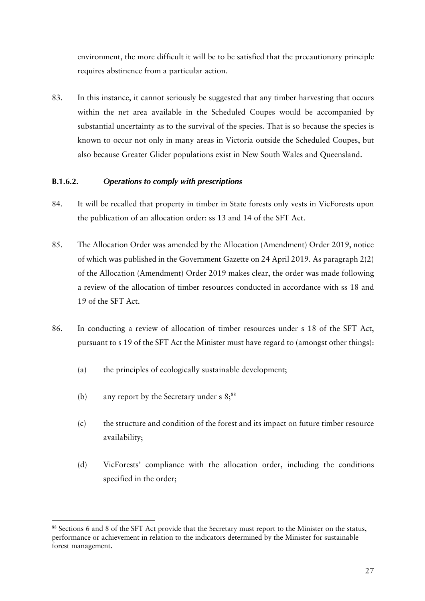environment, the more difficult it will be to be satisfied that the precautionary principle requires abstinence from a particular action.

83. In this instance, it cannot seriously be suggested that any timber harvesting that occurs within the net area available in the Scheduled Coupes would be accompanied by substantial uncertainty as to the survival of the species. That is so because the species is known to occur not only in many areas in Victoria outside the Scheduled Coupes, but also because Greater Glider populations exist in New South Wales and Queensland.

## **B.1.6.2.** *Operations to comply with prescriptions*

- 84. It will be recalled that property in timber in State forests only vests in VicForests upon the publication of an allocation order: ss 13 and 14 of the SFT Act.
- 85. The Allocation Order was amended by the Allocation (Amendment) Order 2019, notice of which was published in the Government Gazette on 24 April 2019. As paragraph 2(2) of the Allocation (Amendment) Order 2019 makes clear, the order was made following a review of the allocation of timber resources conducted in accordance with ss 18 and 19 of the SFT Act.
- 86. In conducting a review of allocation of timber resources under s 18 of the SFT Act, pursuant to s 19 of the SFT Act the Minister must have regard to (amongst other things):
	- (a) the principles of ecologically sustainable development;
	- (b) any report by the Secretary under  $s \, 8$ ;<sup>88</sup>

- (c) the structure and condition of the forest and its impact on future timber resource availability;
- (d) VicForests' compliance with the allocation order, including the conditions specified in the order;

<sup>88</sup> Sections 6 and 8 of the SFT Act provide that the Secretary must report to the Minister on the status, performance or achievement in relation to the indicators determined by the Minister for sustainable forest management.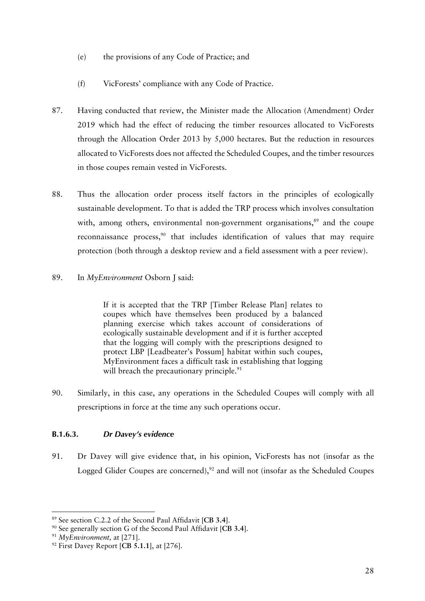- (e) the provisions of any Code of Practice; and
- (f) VicForests' compliance with any Code of Practice.
- 87. Having conducted that review, the Minister made the Allocation (Amendment) Order 2019 which had the effect of reducing the timber resources allocated to VicForests through the Allocation Order 2013 by 5,000 hectares. But the reduction in resources allocated to VicForests does not affected the Scheduled Coupes, and the timber resources in those coupes remain vested in VicForests.
- 88. Thus the allocation order process itself factors in the principles of ecologically sustainable development. To that is added the TRP process which involves consultation with, among others, environmental non-government organisations, $s<sup>9</sup>$  and the coupe reconnaissance process, <sup>90</sup> that includes identification of values that may require protection (both through a desktop review and a field assessment with a peer review).
- 89. In *MyEnvironment* Osborn J said:

If it is accepted that the TRP [Timber Release Plan] relates to coupes which have themselves been produced by a balanced planning exercise which takes account of considerations of ecologically sustainable development and if it is further accepted that the logging will comply with the prescriptions designed to protect LBP [Leadbeater's Possum] habitat within such coupes, MyEnvironment faces a difficult task in establishing that logging will breach the precautionary principle.<sup>91</sup>

90. Similarly, in this case, any operations in the Scheduled Coupes will comply with all prescriptions in force at the time any such operations occur.

# **B.1.6.3.** *Dr Davey's evidence*

91. Dr Davey will give evidence that, in his opinion, VicForests has not (insofar as the Logged Glider Coupes are concerned),<sup>92</sup> and will not (insofar as the Scheduled Coupes

<sup>89</sup> See section C.2.2 of the Second Paul Affidavit [**CB 3.4**].

<sup>90</sup> See generally section G of the Second Paul Affidavit [**CB 3.4**].

<sup>91</sup> *MyEnvironment,* at [271].

<sup>92</sup> First Davey Report [**CB 5.1.1**], at [276].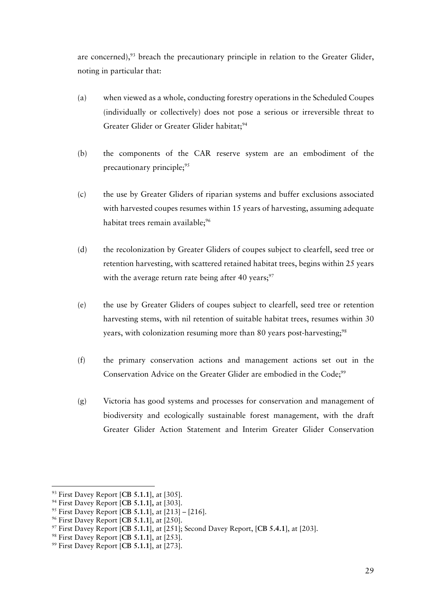are concerned),<sup>93</sup> breach the precautionary principle in relation to the Greater Glider, noting in particular that:

- (a) when viewed as a whole, conducting forestry operations in the Scheduled Coupes (individually or collectively) does not pose a serious or irreversible threat to Greater Glider or Greater Glider habitat;<sup>94</sup>
- (b) the components of the CAR reserve system are an embodiment of the precautionary principle;<sup>95</sup>
- (c) the use by Greater Gliders of riparian systems and buffer exclusions associated with harvested coupes resumes within 15 years of harvesting, assuming adequate habitat trees remain available;<sup>96</sup>
- (d) the recolonization by Greater Gliders of coupes subject to clearfell, seed tree or retention harvesting, with scattered retained habitat trees, begins within 25 years with the average return rate being after 40 years;<sup>97</sup>
- (e) the use by Greater Gliders of coupes subject to clearfell, seed tree or retention harvesting stems, with nil retention of suitable habitat trees, resumes within 30 years, with colonization resuming more than 80 years post-harvesting;<sup>98</sup>
- (f) the primary conservation actions and management actions set out in the Conservation Advice on the Greater Glider are embodied in the Code;<sup>99</sup>
- (g) Victoria has good systems and processes for conservation and management of biodiversity and ecologically sustainable forest management, with the draft Greater Glider Action Statement and Interim Greater Glider Conservation

<sup>&</sup>lt;sup>93</sup> First Davey Report [CB 5.1.1], at [305].<br><sup>94</sup> First Davey Report [CB 5.1.1], at [303].<br><sup>95</sup> First Davey Report [CB 5.1.1], at [213] – [216].<br><sup>96</sup> First Davey Report [CB 5.1.1], at [250].<br><sup>97</sup> First Davey Report [CB 5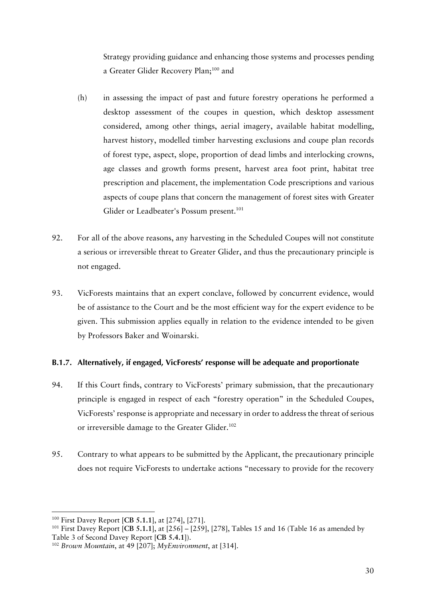Strategy providing guidance and enhancing those systems and processes pending a Greater Glider Recovery Plan;100 and

- (h) in assessing the impact of past and future forestry operations he performed a desktop assessment of the coupes in question, which desktop assessment considered, among other things, aerial imagery, available habitat modelling, harvest history, modelled timber harvesting exclusions and coupe plan records of forest type, aspect, slope, proportion of dead limbs and interlocking crowns, age classes and growth forms present, harvest area foot print, habitat tree prescription and placement, the implementation Code prescriptions and various aspects of coupe plans that concern the management of forest sites with Greater Glider or Leadbeater's Possum present.<sup>101</sup>
- 92. For all of the above reasons, any harvesting in the Scheduled Coupes will not constitute a serious or irreversible threat to Greater Glider, and thus the precautionary principle is not engaged.
- 93. VicForests maintains that an expert conclave, followed by concurrent evidence, would be of assistance to the Court and be the most efficient way for the expert evidence to be given. This submission applies equally in relation to the evidence intended to be given by Professors Baker and Woinarski.

## **B.1.7. Alternatively, if engaged, VicForests' response will be adequate and proportionate**

- 94. If this Court finds, contrary to VicForests' primary submission, that the precautionary principle is engaged in respect of each "forestry operation" in the Scheduled Coupes, VicForests' response is appropriate and necessary in order to address the threat of serious or irreversible damage to the Greater Glider.<sup>102</sup>
- 95. Contrary to what appears to be submitted by the Applicant, the precautionary principle does not require VicForests to undertake actions "necessary to provide for the recovery

<sup>&</sup>lt;sup>100</sup> First Davey Report [**CB 5.1.1**], at [274], [271].<br><sup>101</sup> First Davey Report [**CB 5.1.1**], at [256] – [259], [278], Tables 15 and 16 (Table 16 as amended by Table 3 of Second Davey Report [**CB 5.4.1**]). 102 *Brown Mountain*, at 49 [207]; *MyEnvironment*, at [314].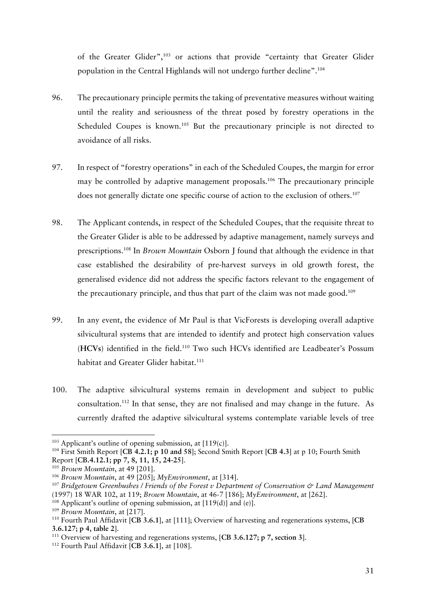of the Greater Glider",103 or actions that provide "certainty that Greater Glider population in the Central Highlands will not undergo further decline".<sup>104</sup>

- 96. The precautionary principle permits the taking of preventative measures without waiting until the reality and seriousness of the threat posed by forestry operations in the Scheduled Coupes is known.<sup>105</sup> But the precautionary principle is not directed to avoidance of all risks.
- 97. In respect of "forestry operations" in each of the Scheduled Coupes, the margin for error may be controlled by adaptive management proposals.<sup>106</sup> The precautionary principle does not generally dictate one specific course of action to the exclusion of others.<sup>107</sup>
- 98. The Applicant contends, in respect of the Scheduled Coupes, that the requisite threat to the Greater Glider is able to be addressed by adaptive management, namely surveys and prescriptions.108 In *Brown Mountain* Osborn J found that although the evidence in that case established the desirability of pre-harvest surveys in old growth forest, the generalised evidence did not address the specific factors relevant to the engagement of the precautionary principle, and thus that part of the claim was not made good.<sup>109</sup>
- 99. In any event, the evidence of Mr Paul is that VicForests is developing overall adaptive silvicultural systems that are intended to identify and protect high conservation values (**HCVs**) identified in the field.110 Two such HCVs identified are Leadbeater's Possum habitat and Greater Glider habitat.<sup>111</sup>
- 100. The adaptive silvicultural systems remain in development and subject to public consultation.112 In that sense, they are not finalised and may change in the future. As currently drafted the adaptive silvicultural systems contemplate variable levels of tree

<sup>&</sup>lt;sup>103</sup> Applicant's outline of opening submission, at  $[119(c)]$ .

<sup>104</sup> First Smith Report [**CB 4.2.1; p 10 and 58**]; Second Smith Report [**CB 4.3**] at p 10; Fourth Smith Report [**CB.4.12.1; pp 7, 8, 11, 15, 24-25**].

<sup>105</sup> *Brown Mountain*, at 49 [201].

<sup>106</sup> *Brown Mountain*, at 49 [205]; *MyEnvironment*, at [314].

<sup>&</sup>lt;sup>107</sup> Bridgetown Greenbushes / Friends of the Forest v Department of Conservation & Land Management (1997) 18 WAR 102, at 119; *Brown Mountain*, at 46-7 [186]; *MyEnvironment*, at [262].

 $108$  Applicant's outline of opening submission, at [119(d)] and (e)].

<sup>109</sup> *Brown Mountain*, at [217].

<sup>110</sup> Fourth Paul Affidavit [**CB 3.6.1**], at [111]; Overview of harvesting and regenerations systems, [**CB 3.6.127; p 4, table 2**].

<sup>111</sup> Overview of harvesting and regenerations systems, [**CB 3.6.127; p 7, section 3**].

<sup>112</sup> Fourth Paul Affidavit [**CB 3.6.1**], at [108].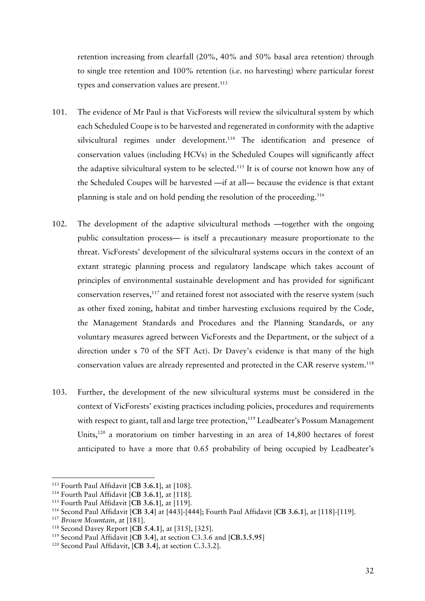retention increasing from clearfall (20%, 40% and 50% basal area retention) through to single tree retention and 100% retention (i.e. no harvesting) where particular forest types and conservation values are present.<sup>113</sup>

- 101. The evidence of Mr Paul is that VicForests will review the silvicultural system by which each Scheduled Coupe is to be harvested and regenerated in conformity with the adaptive silvicultural regimes under development.<sup>114</sup> The identification and presence of conservation values (including HCVs) in the Scheduled Coupes will significantly affect the adaptive silvicultural system to be selected.<sup>115</sup> It is of course not known how any of the Scheduled Coupes will be harvested —if at all— because the evidence is that extant planning is stale and on hold pending the resolution of the proceeding.116
- 102. The development of the adaptive silvicultural methods —together with the ongoing public consultation process— is itself a precautionary measure proportionate to the threat. VicForests' development of the silvicultural systems occurs in the context of an extant strategic planning process and regulatory landscape which takes account of principles of environmental sustainable development and has provided for significant conservation reserves,<sup>117</sup> and retained forest not associated with the reserve system (such as other fixed zoning, habitat and timber harvesting exclusions required by the Code, the Management Standards and Procedures and the Planning Standards, or any voluntary measures agreed between VicForests and the Department, or the subject of a direction under s 70 of the SFT Act). Dr Davey's evidence is that many of the high conservation values are already represented and protected in the CAR reserve system.<sup>118</sup>
- 103. Further, the development of the new silvicultural systems must be considered in the context of VicForests' existing practices including policies, procedures and requirements with respect to giant, tall and large tree protection,<sup>119</sup> Leadbeater's Possum Management Units,120 a moratorium on timber harvesting in an area of 14,800 hectares of forest anticipated to have a more that 0.65 probability of being occupied by Leadbeater's

<sup>113</sup> Fourth Paul Affidavit [**CB 3.6.1**], at [108].

<sup>114</sup> Fourth Paul Affidavit [**CB 3.6.1**], at [118].

<sup>115</sup> Fourth Paul Affidavit [**CB 3.6.1**], at [119].

<sup>116</sup> Second Paul Affidavit [**CB 3.4**] at [443]-[444]; Fourth Paul Affidavit [**CB 3.6.1**], at [118]-[119].

<sup>&</sup>lt;sup>117</sup> *Brown Mountain*, at [181].<br><sup>118</sup> Second Davey Report [CB 5.4.1], at [315], [325].

<sup>&</sup>lt;sup>119</sup> Second Paul Affidavit [CB 3.4], at section C3.3.6 and [CB.3.5.95]

<sup>120</sup> Second Paul Affidavit, [**CB 3.4**], at section C.3.3.2].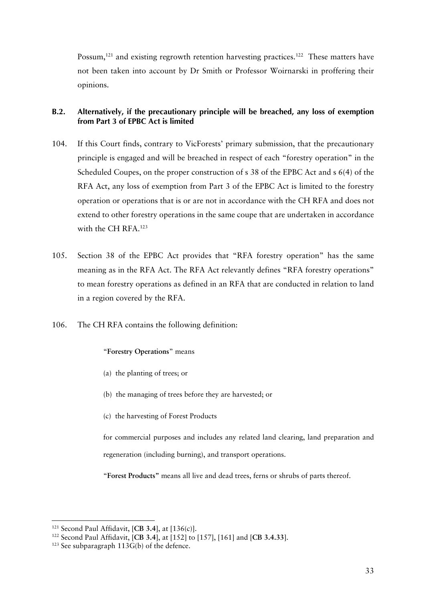Possum,<sup>121</sup> and existing regrowth retention harvesting practices.<sup>122</sup> These matters have not been taken into account by Dr Smith or Professor Woirnarski in proffering their opinions.

## **B.2. Alternatively, if the precautionary principle will be breached, any loss of exemption from Part 3 of EPBC Act is limited**

- 104. If this Court finds, contrary to VicForests' primary submission, that the precautionary principle is engaged and will be breached in respect of each "forestry operation" in the Scheduled Coupes, on the proper construction of s 38 of the EPBC Act and s 6(4) of the RFA Act, any loss of exemption from Part 3 of the EPBC Act is limited to the forestry operation or operations that is or are not in accordance with the CH RFA and does not extend to other forestry operations in the same coupe that are undertaken in accordance with the CH RFA.<sup>123</sup>
- 105. Section 38 of the EPBC Act provides that "RFA forestry operation" has the same meaning as in the RFA Act. The RFA Act relevantly defines "RFA forestry operations" to mean forestry operations as defined in an RFA that are conducted in relation to land in a region covered by the RFA.
- 106. The CH RFA contains the following definition:

## "**Forestry Operations**" means

- (a) the planting of trees; or
- (b) the managing of trees before they are harvested; or
- (c) the harvesting of Forest Products

for commercial purposes and includes any related land clearing, land preparation and regeneration (including burning), and transport operations.

"**Forest Products"** means all live and dead trees, ferns or shrubs of parts thereof.

<sup>121</sup> Second Paul Affidavit, [**CB 3.4**], at [136(c)].

<sup>122</sup> Second Paul Affidavit, [**CB 3.4**], at [152] to [157], [161] and [**CB 3.4.33**].

 $123$  See subparagraph  $113G(b)$  of the defence.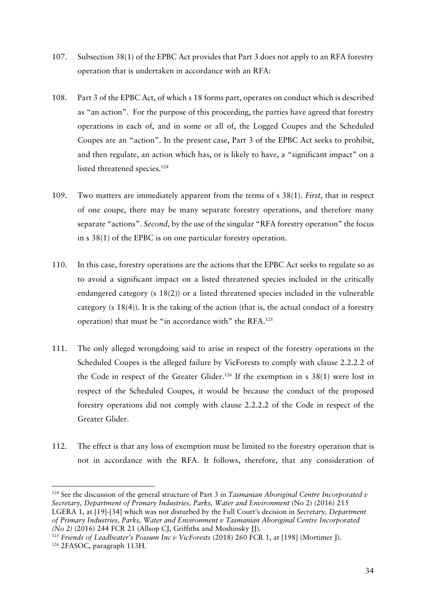- 107. Subsection 38(1) of the EPBC Act provides that Part 3 does not apply to an RFA forestry operation that is undertaken in accordance with an RFA:
- 108. Part 3 of the EPBC Act, of which s 18 forms part, operates on conduct which is described as "an action". For the purpose of this proceeding, the parties have agreed that forestry operations in each of, and in some or all of, the Logged Coupes and the Scheduled Coupes are an "action". In the present case, Part 3 of the EPBC Act seeks to prohibit, and then regulate, an action which has, or is likely to have, a "significant impact" on a listed threatened species.<sup>124</sup>
- 109. Two matters are immediately apparent from the terms of s 38(1). *First*, that in respect of one coupe, there may be many separate forestry operations, and therefore many separate "actions". *Second,* by the use of the singular "RFA forestry operation" the focus in s 38(1) of the EPBC is on one particular forestry operation.
- 110. In this case, forestry operations are the actions that the EPBC Act seeks to regulate so as to avoid a significant impact on a listed threatened species included in the critically endangered category (s 18(2)) or a listed threatened species included in the vulnerable category (s 18(4)). It is the taking of the action (that is, the actual conduct of a forestry operation) that must be "in accordance with" the RFA.<sup>125</sup>
- 111. The only alleged wrongdoing said to arise in respect of the forestry operations in the Scheduled Coupes is the alleged failure by VicForests to comply with clause 2.2.2.2 of the Code in respect of the Greater Glider.<sup>126</sup> If the exemption in s  $38(1)$  were lost in respect of the Scheduled Coupes, it would be because the conduct of the proposed forestry operations did not comply with clause 2.2.2.2 of the Code in respect of the Greater Glider.
- 112. The effect is that any loss of exemption must be limited to the forestry operation that is not in accordance with the RFA. It follows, therefore, that any consideration of

<sup>124</sup> See the discussion of the general structure of Part 3 in *Tasmanian Aboriginal Centre Incorporated v Secretary, Department of Primary Industries, Parks, Water and Environment* (No 2) (2016) 215 LGERA 1, at [19]-[34] which was not disturbed by the Full Court's decision in *Secretary, Department of Primary Industries, Parks, Water and Environment v Tasmanian Aboriginal Centre Incorporated (No 2)* (2016) 244 FCR 21 (Allsop CJ, Griffiths and Moshinsky JJ).

<sup>125</sup> *Friends of Leadbeater's Possum Inc v VicForests* (2018) 260 FCR 1, at [198] (Mortimer J).

<sup>126</sup> 2FASOC, paragraph 113H.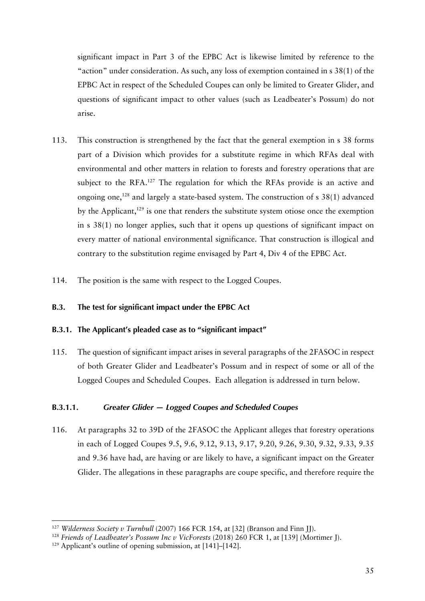significant impact in Part 3 of the EPBC Act is likewise limited by reference to the "action" under consideration. As such, any loss of exemption contained in s 38(1) of the EPBC Act in respect of the Scheduled Coupes can only be limited to Greater Glider, and questions of significant impact to other values (such as Leadbeater's Possum) do not arise.

- 113. This construction is strengthened by the fact that the general exemption in s 38 forms part of a Division which provides for a substitute regime in which RFAs deal with environmental and other matters in relation to forests and forestry operations that are subject to the RFA.<sup>127</sup> The regulation for which the RFAs provide is an active and ongoing one,128 and largely a state-based system. The construction of s 38(1) advanced by the Applicant, $129$  is one that renders the substitute system otiose once the exemption in s 38(1) no longer applies, such that it opens up questions of significant impact on every matter of national environmental significance. That construction is illogical and contrary to the substitution regime envisaged by Part 4, Div 4 of the EPBC Act.
- 114. The position is the same with respect to the Logged Coupes.

## **B.3. The test for significant impact under the EPBC Act**

## **B.3.1. The Applicant's pleaded case as to "significant impact"**

115. The question of significant impact arises in several paragraphs of the 2FASOC in respect of both Greater Glider and Leadbeater's Possum and in respect of some or all of the Logged Coupes and Scheduled Coupes. Each allegation is addressed in turn below.

# **B.3.1.1.** *Greater Glider — Logged Coupes and Scheduled Coupes*

116. At paragraphs 32 to 39D of the 2FASOC the Applicant alleges that forestry operations in each of Logged Coupes 9.5, 9.6, 9.12, 9.13, 9.17, 9.20, 9.26, 9.30, 9.32, 9.33, 9.35 and 9.36 have had, are having or are likely to have, a significant impact on the Greater Glider. The allegations in these paragraphs are coupe specific, and therefore require the

<sup>&</sup>lt;sup>127</sup> *Wilderness Society v Turnbull* (2007) 166 FCR 154, at [32] (Branson and Finn JJ).

<sup>128</sup> *Friends of Leadbeater's Possum Inc v VicForests* (2018) 260 FCR 1, at [139] (Mortimer J).

<sup>129</sup> Applicant's outline of opening submission, at [141]–[142].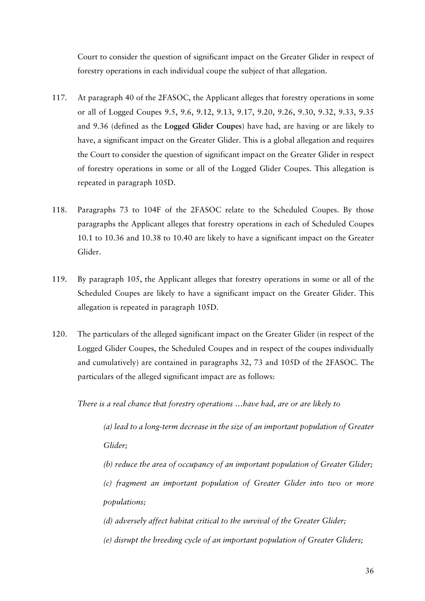Court to consider the question of significant impact on the Greater Glider in respect of forestry operations in each individual coupe the subject of that allegation.

- 117. At paragraph 40 of the 2FASOC, the Applicant alleges that forestry operations in some or all of Logged Coupes 9.5, 9.6, 9.12, 9.13, 9.17, 9.20, 9.26, 9.30, 9.32, 9.33, 9.35 and 9.36 (defined as the **Logged Glider Coupes**) have had, are having or are likely to have, a significant impact on the Greater Glider. This is a global allegation and requires the Court to consider the question of significant impact on the Greater Glider in respect of forestry operations in some or all of the Logged Glider Coupes. This allegation is repeated in paragraph 105D.
- 118. Paragraphs 73 to 104F of the 2FASOC relate to the Scheduled Coupes. By those paragraphs the Applicant alleges that forestry operations in each of Scheduled Coupes 10.1 to 10.36 and 10.38 to 10.40 are likely to have a significant impact on the Greater Glider.
- 119. By paragraph 105, the Applicant alleges that forestry operations in some or all of the Scheduled Coupes are likely to have a significant impact on the Greater Glider. This allegation is repeated in paragraph 105D.
- 120. The particulars of the alleged significant impact on the Greater Glider (in respect of the Logged Glider Coupes, the Scheduled Coupes and in respect of the coupes individually and cumulatively) are contained in paragraphs 32, 73 and 105D of the 2FASOC. The particulars of the alleged significant impact are as follows:

*There is a real chance that forestry operations …have had, are or are likely to* 

*(a) lead to a long-term decrease in the size of an important population of Greater Glider;* 

*(b) reduce the area of occupancy of an important population of Greater Glider; (c) fragment an important population of Greater Glider into two or more populations;* 

*(d) adversely affect habitat critical to the survival of the Greater Glider; (e) disrupt the breeding cycle of an important population of Greater Gliders;*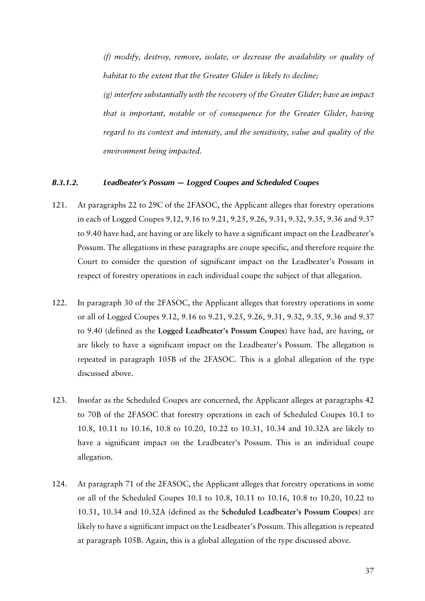*(f) modify, destroy, remove, isolate, or decrease the availability or quality of habitat to the extent that the Greater Glider is likely to decline;* 

*(g) interfere substantially with the recovery of the Greater Glider; have an impact that is important, notable or of consequence for the Greater Glider, having regard to its context and intensity, and the sensitivity, value and quality of the environment being impacted.* 

#### *B.3.1.2. Leadbeater's Possum — Logged Coupes and Scheduled Coupes*

- 121. At paragraphs 22 to 29C of the 2FASOC, the Applicant alleges that forestry operations in each of Logged Coupes 9.12, 9.16 to 9.21, 9.25, 9.26, 9.31, 9.32, 9.35, 9.36 and 9.37 to 9.40 have had, are having or are likely to have a significant impact on the Leadbeater's Possum. The allegations in these paragraphs are coupe specific, and therefore require the Court to consider the question of significant impact on the Leadbeater's Possum in respect of forestry operations in each individual coupe the subject of that allegation.
- 122. In paragraph 30 of the 2FASOC, the Applicant alleges that forestry operations in some or all of Logged Coupes 9.12, 9.16 to 9.21, 9.25, 9.26, 9.31, 9.32, 9.35, 9.36 and 9.37 to 9.40 (defined as the **Logged Leadbeater's Possum Coupes**) have had, are having, or are likely to have a significant impact on the Leadbeater's Possum. The allegation is repeated in paragraph 105B of the 2FASOC. This is a global allegation of the type discussed above.
- 123. Insofar as the Scheduled Coupes are concerned, the Applicant alleges at paragraphs 42 to 70B of the 2FASOC that forestry operations in each of Scheduled Coupes 10.1 to 10.8, 10.11 to 10.16, 10.8 to 10.20, 10.22 to 10.31, 10.34 and 10.32A are likely to have a significant impact on the Leadbeater's Possum. This is an individual coupe allegation.
- 124. At paragraph 71 of the 2FASOC, the Applicant alleges that forestry operations in some or all of the Scheduled Coupes 10.1 to 10.8, 10.11 to 10.16, 10.8 to 10.20, 10.22 to 10.31, 10.34 and 10.32A (defined as the **Scheduled Leadbeater's Possum Coupes**) are likely to have a significant impact on the Leadbeater's Possum. This allegation is repeated at paragraph 105B. Again, this is a global allegation of the type discussed above.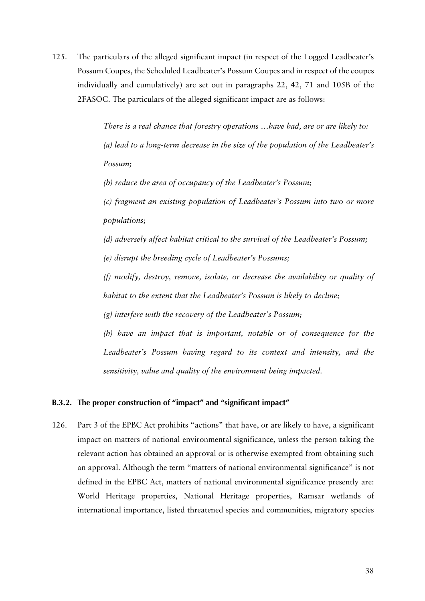125. The particulars of the alleged significant impact (in respect of the Logged Leadbeater's Possum Coupes, the Scheduled Leadbeater's Possum Coupes and in respect of the coupes individually and cumulatively) are set out in paragraphs 22, 42, 71 and 105B of the 2FASOC. The particulars of the alleged significant impact are as follows:

> *There is a real chance that forestry operations …have had, are or are likely to: (a) lead to a long-term decrease in the size of the population of the Leadbeater's Possum;*

*(b) reduce the area of occupancy of the Leadbeater's Possum;* 

*(c) fragment an existing population of Leadbeater's Possum into two or more populations;* 

*(d) adversely affect habitat critical to the survival of the Leadbeater's Possum; (e) disrupt the breeding cycle of Leadbeater's Possums;* 

*(f) modify, destroy, remove, isolate, or decrease the availability or quality of habitat to the extent that the Leadbeater's Possum is likely to decline;* 

*(g) interfere with the recovery of the Leadbeater's Possum;* 

*(h) have an impact that is important, notable or of consequence for the Leadbeater's Possum having regard to its context and intensity, and the sensitivity, value and quality of the environment being impacted.*

#### **B.3.2. The proper construction of "impact" and "significant impact"**

126. Part 3 of the EPBC Act prohibits "actions" that have, or are likely to have, a significant impact on matters of national environmental significance, unless the person taking the relevant action has obtained an approval or is otherwise exempted from obtaining such an approval. Although the term "matters of national environmental significance" is not defined in the EPBC Act, matters of national environmental significance presently are: World Heritage properties, National Heritage properties, Ramsar wetlands of international importance, listed threatened species and communities, migratory species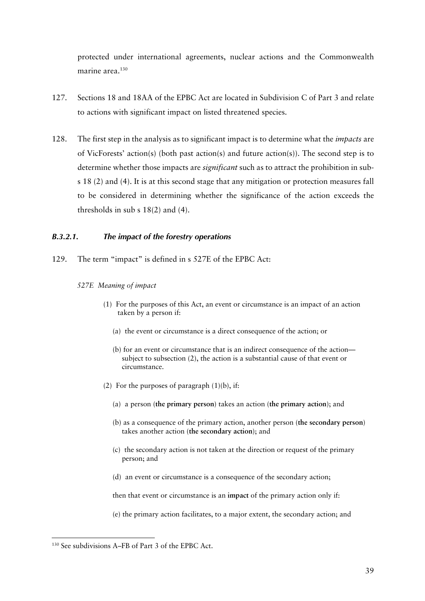protected under international agreements, nuclear actions and the Commonwealth marine area.<sup>130</sup>

- 127. Sections 18 and 18AA of the EPBC Act are located in Subdivision C of Part 3 and relate to actions with significant impact on listed threatened species.
- 128. The first step in the analysis as to significant impact is to determine what the *impacts* are of VicForests' action(s) (both past action(s) and future action(s)). The second step is to determine whether those impacts are *significant* such as to attract the prohibition in subs 18 (2) and (4). It is at this second stage that any mitigation or protection measures fall to be considered in determining whether the significance of the action exceeds the thresholds in sub s 18(2) and (4).

## *B.3.2.1. The impact of the forestry operations*

129. The term "impact" is defined in s 527E of the EPBC Act:

#### *527E Meaning of impact*

- (1) For the purposes of this Act, an event or circumstance is an impact of an action taken by a person if:
	- (a) the event or circumstance is a direct consequence of the action; or
	- (b) for an event or circumstance that is an indirect consequence of the action subject to subsection (2), the action is a substantial cause of that event or circumstance.
- (2) For the purposes of paragraph  $(1)(b)$ , if:
	- (a) a person (**the primary person**) takes an action (**the primary action**); and
	- (b) as a consequence of the primary action, another person (**the secondary person**) takes another action (**the secondary action**); and
	- (c) the secondary action is not taken at the direction or request of the primary person; and
	- (d) an event or circumstance is a consequence of the secondary action;

then that event or circumstance is an **impact** of the primary action only if:

(e) the primary action facilitates, to a major extent, the secondary action; and

<sup>130</sup> See subdivisions A–FB of Part 3 of the EPBC Act.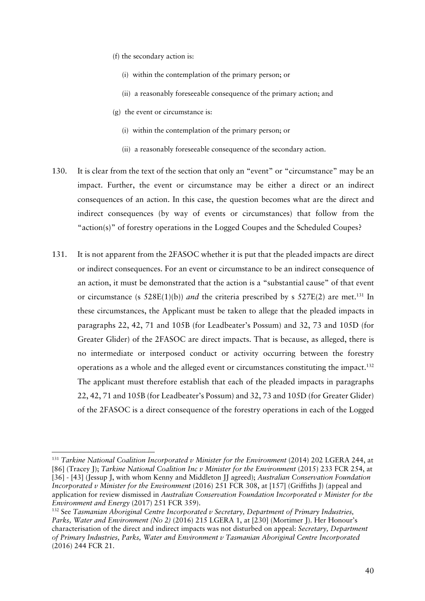- (f) the secondary action is:
	- (i) within the contemplation of the primary person; or
	- (ii) a reasonably foreseeable consequence of the primary action; and
- (g) the event or circumstance is:
	- (i) within the contemplation of the primary person; or
	- (ii) a reasonably foreseeable consequence of the secondary action.
- 130. It is clear from the text of the section that only an "event" or "circumstance" may be an impact. Further, the event or circumstance may be either a direct or an indirect consequences of an action. In this case, the question becomes what are the direct and indirect consequences (by way of events or circumstances) that follow from the "action(s)" of forestry operations in the Logged Coupes and the Scheduled Coupes?
- 131. It is not apparent from the 2FASOC whether it is put that the pleaded impacts are direct or indirect consequences. For an event or circumstance to be an indirect consequence of an action, it must be demonstrated that the action is a "substantial cause" of that event or circumstance (s  $528E(1)(b)$ ) *and* the criteria prescribed by s  $527E(2)$  are met.<sup>131</sup> In these circumstances, the Applicant must be taken to allege that the pleaded impacts in paragraphs 22, 42, 71 and 105B (for Leadbeater's Possum) and 32, 73 and 105D (for Greater Glider) of the 2FASOC are direct impacts. That is because, as alleged, there is no intermediate or interposed conduct or activity occurring between the forestry operations as a whole and the alleged event or circumstances constituting the impact.132 The applicant must therefore establish that each of the pleaded impacts in paragraphs 22, 42, 71 and 105B (for Leadbeater's Possum) and 32, 73 and 105D (for Greater Glider) of the 2FASOC is a direct consequence of the forestry operations in each of the Logged

<sup>131</sup> *Tarkine National Coalition Incorporated v Minister for the Environment* (2014) 202 LGERA 244, at [86] (Tracey J); *Tarkine National Coalition Inc v Minister for the Environment* (2015) 233 FCR 254, at [36] - [43] (Jessup J, with whom Kenny and Middleton JJ agreed); *Australian Conservation Foundation Incorporated v Minister for the Environment* (2016) 251 FCR 308, at [157] (Griffiths J) (appeal and application for review dismissed in *Australian Conservation Foundation Incorporated v Minister for the Environment and Energy* (2017) 251 FCR 359).

<sup>132</sup> See *Tasmanian Aboriginal Centre Incorporated v Secretary, Department of Primary Industries, Parks, Water and Environment (No 2)* (2016) 215 LGERA 1, at [230] (Mortimer J). Her Honour's characterisation of the direct and indirect impacts was not disturbed on appeal: *Secretary, Department of Primary Industries, Parks, Water and Environment v Tasmanian Aboriginal Centre Incorporated* (2016) 244 FCR 21.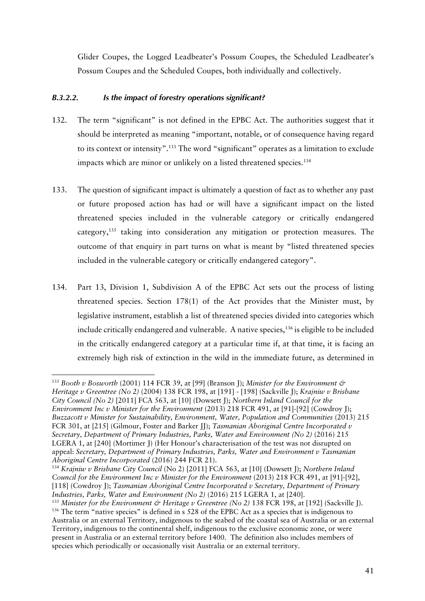Glider Coupes, the Logged Leadbeater's Possum Coupes, the Scheduled Leadbeater's Possum Coupes and the Scheduled Coupes, both individually and collectively.

## *B.3.2.2. Is the impact of forestry operations significant?*

- 132. The term "significant" is not defined in the EPBC Act. The authorities suggest that it should be interpreted as meaning "important, notable, or of consequence having regard to its context or intensity".<sup>133</sup> The word "significant" operates as a limitation to exclude impacts which are minor or unlikely on a listed threatened species.<sup>134</sup>
- 133. The question of significant impact is ultimately a question of fact as to whether any past or future proposed action has had or will have a significant impact on the listed threatened species included in the vulnerable category or critically endangered category,135 taking into consideration any mitigation or protection measures. The outcome of that enquiry in part turns on what is meant by "listed threatened species included in the vulnerable category or critically endangered category".
- 134. Part 13, Division 1, Subdivision A of the EPBC Act sets out the process of listing threatened species. Section 178(1) of the Act provides that the Minister must, by legislative instrument, establish a list of threatened species divided into categories which include critically endangered and vulnerable. A native species,<sup>136</sup> is eligible to be included in the critically endangered category at a particular time if, at that time, it is facing an extremely high risk of extinction in the wild in the immediate future, as determined in

<sup>133</sup> *Booth v Bosworth* (2001) 114 FCR 39, at [99] (Branson J); *Minister for the Environment & Heritage v Greentree (No 2)* (2004) 138 FCR 198, at [191] - [198] (Sackville J); *Krajniw v Brisbane City Council (No 2)* [2011] FCA 563, at [10] (Dowsett J); *Northern Inland Council for the Environment Inc v Minister for the Environment* (2013) 218 FCR 491, at [91]-[92] (Cowdroy J); *Buzzacott v Minister for Sustainability, Environment, Water, Population and Communities* (2013) 215 FCR 301, at [215] (Gilmour, Foster and Barker II); *Tasmanian Aboriginal Centre Incorporated v Secretary, Department of Primary Industries, Parks, Water and Environment (No 2)* (2016) 215 LGERA 1, at [240] (Mortimer J) (Her Honour's characterisation of the test was not disrupted on appeal: *Secretary, Department of Primary Industries, Parks, Water and Environment v Tasmanian Aboriginal Centre Incorporated* (2016) 244 FCR 21).

<sup>134</sup> *Krajniw v Brisbane City Council* (No 2) [2011] FCA 563, at [10] (Dowsett J); *Northern Inland Council for the Environment Inc v Minister for the Environment* (2013) 218 FCR 491, at [91]-[92], [118] (Cowdroy J); *Tasmanian Aboriginal Centre Incorporated v Secretary, Department of Primary Industries, Parks, Water and Environment (No 2)* (2016) 215 LGERA 1, at [240].

<sup>&</sup>lt;sup>135</sup> Minister for the Environment & Heritage v Greentree (No 2) 138 FCR 198, at [192] (Sackville J).

<sup>136</sup> The term "native species" is defined in s 528 of the EPBC Act as a species that is indigenous to Australia or an external Territory, indigenous to the seabed of the coastal sea of Australia or an external Territory, indigenous to the continental shelf, indigenous to the exclusive economic zone, or were present in Australia or an external territory before 1400. The definition also includes members of species which periodically or occasionally visit Australia or an external territory.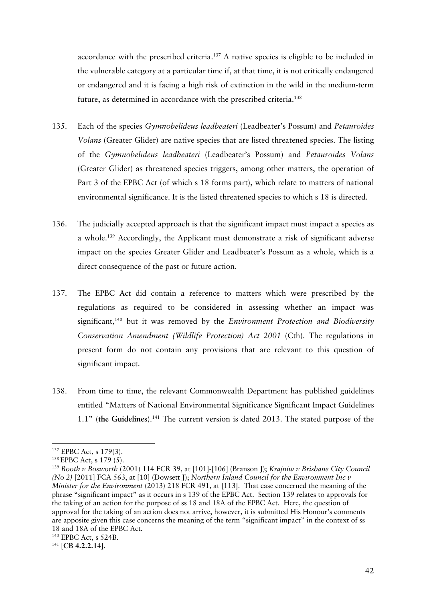accordance with the prescribed criteria.<sup>137</sup> A native species is eligible to be included in the vulnerable category at a particular time if, at that time, it is not critically endangered or endangered and it is facing a high risk of extinction in the wild in the medium-term future, as determined in accordance with the prescribed criteria.<sup>138</sup>

- 135. Each of the species *Gymnobelideus leadbeateri* (Leadbeater's Possum) and *Petauroides Volans* (Greater Glider) are native species that are listed threatened species. The listing of the *Gymnobelideus leadbeateri* (Leadbeater's Possum) and *Petauroides Volans* (Greater Glider) as threatened species triggers, among other matters, the operation of Part 3 of the EPBC Act (of which s 18 forms part), which relate to matters of national environmental significance. It is the listed threatened species to which s 18 is directed.
- 136. The judicially accepted approach is that the significant impact must impact a species as a whole.139 Accordingly, the Applicant must demonstrate a risk of significant adverse impact on the species Greater Glider and Leadbeater's Possum as a whole, which is a direct consequence of the past or future action.
- 137. The EPBC Act did contain a reference to matters which were prescribed by the regulations as required to be considered in assessing whether an impact was significant,140 but it was removed by the *Environment Protection and Biodiversity Conservation Amendment (Wildlife Protection) Act 2001* (Cth). The regulations in present form do not contain any provisions that are relevant to this question of significant impact.
- 138. From time to time, the relevant Commonwealth Department has published guidelines entitled "Matters of National Environmental Significance Significant Impact Guidelines 1.1" (**the Guidelines**).141 The current version is dated 2013. The stated purpose of the

<sup>137</sup> EPBC Act, s 179(3).

<sup>138</sup> EPBC Act, s 179 (5).

<sup>139</sup> *Booth v Bosworth* (2001) 114 FCR 39, at [101]-[106] (Branson J); *Krajniw v Brisbane City Council (No 2)* [2011] FCA 563, at [10] (Dowsett J); *Northern Inland Council for the Environment Inc v Minister for the Environment* (2013) 218 FCR 491, at [113]. That case concerned the meaning of the phrase "significant impact" as it occurs in s 139 of the EPBC Act. Section 139 relates to approvals for the taking of an action for the purpose of ss 18 and 18A of the EPBC Act. Here, the question of approval for the taking of an action does not arrive, however, it is submitted His Honour's comments are apposite given this case concerns the meaning of the term "significant impact" in the context of ss 18 and 18A of the EPBC Act.

<sup>140</sup> EPBC Act, s 524B.

<sup>141</sup> [**CB 4.2.2.14**].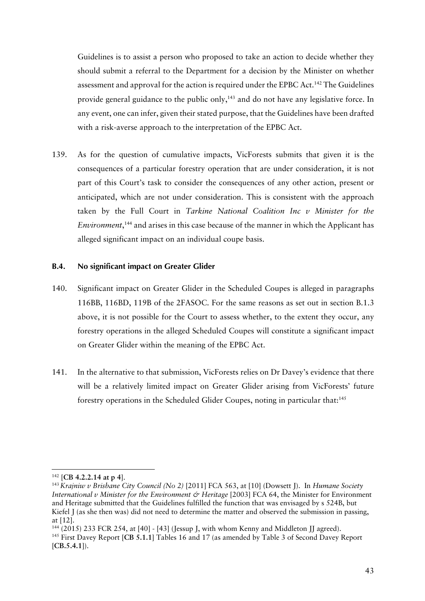Guidelines is to assist a person who proposed to take an action to decide whether they should submit a referral to the Department for a decision by the Minister on whether assessment and approval for the action is required under the EPBC Act.<sup>142</sup> The Guidelines provide general guidance to the public only, $143$  and do not have any legislative force. In any event, one can infer, given their stated purpose, that the Guidelines have been drafted with a risk-averse approach to the interpretation of the EPBC Act.

139. As for the question of cumulative impacts, VicForests submits that given it is the consequences of a particular forestry operation that are under consideration, it is not part of this Court's task to consider the consequences of any other action, present or anticipated, which are not under consideration. This is consistent with the approach taken by the Full Court in *Tarkine National Coalition Inc v Minister for the Environment*, <sup>144</sup> and arises in this case because of the manner in which the Applicant has alleged significant impact on an individual coupe basis.

#### **B.4. No significant impact on Greater Glider**

- 140. Significant impact on Greater Glider in the Scheduled Coupes is alleged in paragraphs 116BB, 116BD, 119B of the 2FASOC. For the same reasons as set out in section B.1.3 above, it is not possible for the Court to assess whether, to the extent they occur, any forestry operations in the alleged Scheduled Coupes will constitute a significant impact on Greater Glider within the meaning of the EPBC Act.
- 141. In the alternative to that submission, VicForests relies on Dr Davey's evidence that there will be a relatively limited impact on Greater Glider arising from VicForests' future forestry operations in the Scheduled Glider Coupes, noting in particular that:<sup>145</sup>

<sup>142</sup> [**CB 4.2.2.14 at p 4**].

<sup>143</sup> *Krajniw v Brisbane City Council (No 2)* [2011] FCA 563, at [10] (Dowsett J). In *Humane Society International v Minister for the Environment & Heritage* [2003] FCA 64, the Minister for Environment and Heritage submitted that the Guidelines fulfilled the function that was envisaged by s 524B, but Kiefel J (as she then was) did not need to determine the matter and observed the submission in passing, at [12].

 $144$  (2015) 233 FCR 254, at [40] - [43] (Jessup J, with whom Kenny and Middleton JJ agreed). <sup>145</sup> First Davey Report [**CB 5.1.1**] Tables 16 and 17 (as amended by Table 3 of Second Davey Report [**CB.5.4.1**]).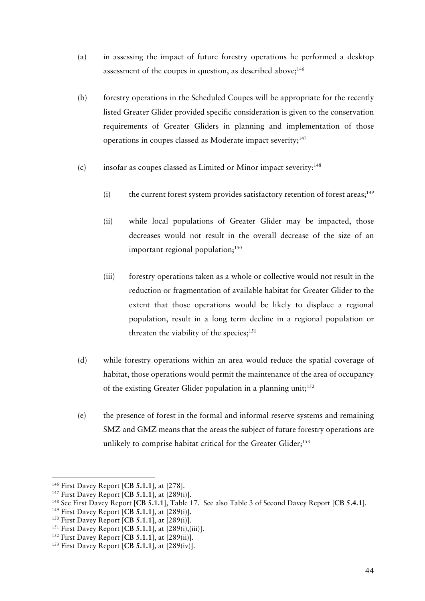- (a) in assessing the impact of future forestry operations he performed a desktop assessment of the coupes in question, as described above; $146$
- (b) forestry operations in the Scheduled Coupes will be appropriate for the recently listed Greater Glider provided specific consideration is given to the conservation requirements of Greater Gliders in planning and implementation of those operations in coupes classed as Moderate impact severity;147
- $(c)$  insofar as coupes classed as Limited or Minor impact severity:<sup>148</sup>
	- $(i)$  the current forest system provides satisfactory retention of forest areas;<sup>149</sup>
	- (ii) while local populations of Greater Glider may be impacted, those decreases would not result in the overall decrease of the size of an important regional population; $150$
	- (iii) forestry operations taken as a whole or collective would not result in the reduction or fragmentation of available habitat for Greater Glider to the extent that those operations would be likely to displace a regional population, result in a long term decline in a regional population or threaten the viability of the species; $151$
- (d) while forestry operations within an area would reduce the spatial coverage of habitat, those operations would permit the maintenance of the area of occupancy of the existing Greater Glider population in a planning unit;<sup>152</sup>
- (e) the presence of forest in the formal and informal reserve systems and remaining SMZ and GMZ means that the areas the subject of future forestry operations are unlikely to comprise habitat critical for the Greater Glider;<sup>153</sup>

<sup>&</sup>lt;sup>146</sup> First Davey Report [CB 5.1.1], at [278].<br><sup>147</sup> First Davey Report [CB 5.1.1], at [289(i)].<br><sup>148</sup> See First Davey Report [CB 5.1.1], Table 17. See also Table 3 of Second Davey Report [CB 5.4.1].<br><sup>149</sup> First Davey Rep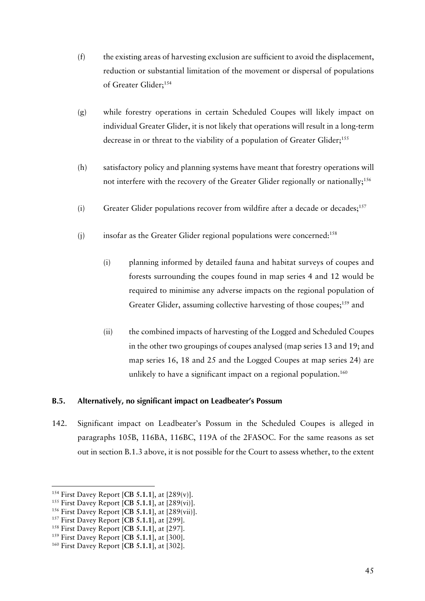- (f) the existing areas of harvesting exclusion are sufficient to avoid the displacement, reduction or substantial limitation of the movement or dispersal of populations of Greater Glider;<sup>154</sup>
- (g) while forestry operations in certain Scheduled Coupes will likely impact on individual Greater Glider, it is not likely that operations will result in a long-term decrease in or threat to the viability of a population of Greater Glider;<sup>155</sup>
- (h) satisfactory policy and planning systems have meant that forestry operations will not interfere with the recovery of the Greater Glider regionally or nationally;<sup>156</sup>
- (i) Greater Glider populations recover from wildfire after a decade or decades;<sup>157</sup>
- (j) insofar as the Greater Glider regional populations were concerned:<sup>158</sup>
	- (i) planning informed by detailed fauna and habitat surveys of coupes and forests surrounding the coupes found in map series 4 and 12 would be required to minimise any adverse impacts on the regional population of Greater Glider, assuming collective harvesting of those coupes;<sup>159</sup> and
	- (ii) the combined impacts of harvesting of the Logged and Scheduled Coupes in the other two groupings of coupes analysed (map series 13 and 19; and map series 16, 18 and 25 and the Logged Coupes at map series 24) are unlikely to have a significant impact on a regional population. 160

#### **B.5. Alternatively, no significant impact on Leadbeater's Possum**

142. Significant impact on Leadbeater's Possum in the Scheduled Coupes is alleged in paragraphs 105B, 116BA, 116BC, 119A of the 2FASOC. For the same reasons as set out in section B.1.3 above, it is not possible for the Court to assess whether, to the extent

<sup>&</sup>lt;sup>154</sup> First Davey Report [CB 5.1.1], at [289(v)].<br><sup>155</sup> First Davey Report [CB 5.1.1], at [289(vi)].<br><sup>156</sup> First Davey Report [CB 5.1.1], at [289(vii)].<br><sup>157</sup> First Davey Report [CB 5.1.1], at [299].<br><sup>157</sup> First Davey Rep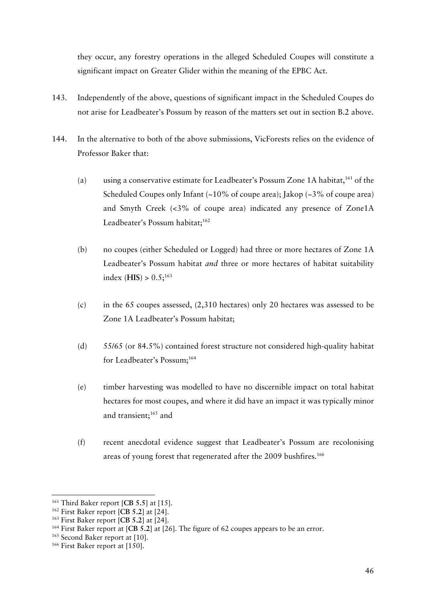they occur, any forestry operations in the alleged Scheduled Coupes will constitute a significant impact on Greater Glider within the meaning of the EPBC Act.

- 143. Independently of the above, questions of significant impact in the Scheduled Coupes do not arise for Leadbeater's Possum by reason of the matters set out in section B.2 above.
- 144. In the alternative to both of the above submissions, VicForests relies on the evidence of Professor Baker that:
	- (a) using a conservative estimate for Leadbeater's Possum Zone 1A habitat,<sup>161</sup> of the Scheduled Coupes only Infant  $\left(\sim10\%$  of coupe area); Jakop  $\left(\sim3\%$  of coupe area) and Smyth Creek (<3% of coupe area) indicated any presence of Zone1A Leadbeater's Possum habitat;<sup>162</sup>
	- (b) no coupes (either Scheduled or Logged) had three or more hectares of Zone 1A Leadbeater's Possum habitat *and* three or more hectares of habitat suitability index (**HIS**) > 0.5; 163
	- (c) in the 65 coupes assessed, (2,310 hectares) only 20 hectares was assessed to be Zone 1A Leadbeater's Possum habitat;
	- (d) 55/65 (or 84.5%) contained forest structure not considered high-quality habitat for Leadbeater's Possum; 164
	- (e) timber harvesting was modelled to have no discernible impact on total habitat hectares for most coupes, and where it did have an impact it was typically minor and transient; <sup>165</sup> and
	- (f) recent anecdotal evidence suggest that Leadbeater's Possum are recolonising areas of young forest that regenerated after the 2009 bushfires. 166

<sup>161</sup> Third Baker report [**CB 5.5**] at [15].

<sup>&</sup>lt;sup>162</sup> First Baker report [CB 5.2] at [24].<br><sup>163</sup> First Baker report [CB 5.2] at [24].

<sup>&</sup>lt;sup>164</sup> First Baker report at [CB 5.2] at [26]. The figure of 62 coupes appears to be an error.

<sup>&</sup>lt;sup>165</sup> Second Baker report at [10].

<sup>166</sup> First Baker report at [150].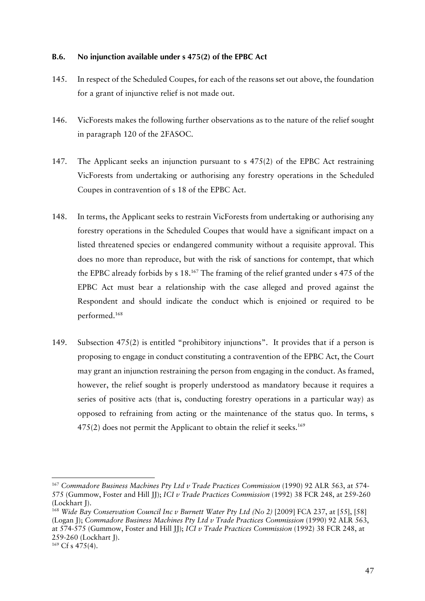## **B.6. No injunction available under s 475(2) of the EPBC Act**

- 145. In respect of the Scheduled Coupes, for each of the reasons set out above, the foundation for a grant of injunctive relief is not made out.
- 146. VicForests makes the following further observations as to the nature of the relief sought in paragraph 120 of the 2FASOC.
- 147. The Applicant seeks an injunction pursuant to s 475(2) of the EPBC Act restraining VicForests from undertaking or authorising any forestry operations in the Scheduled Coupes in contravention of s 18 of the EPBC Act.
- 148. In terms, the Applicant seeks to restrain VicForests from undertaking or authorising any forestry operations in the Scheduled Coupes that would have a significant impact on a listed threatened species or endangered community without a requisite approval. This does no more than reproduce, but with the risk of sanctions for contempt, that which the EPBC already forbids by s 18.167 The framing of the relief granted under s 475 of the EPBC Act must bear a relationship with the case alleged and proved against the Respondent and should indicate the conduct which is enjoined or required to be performed.168
- 149. Subsection 475(2) is entitled "prohibitory injunctions". It provides that if a person is proposing to engage in conduct constituting a contravention of the EPBC Act, the Court may grant an injunction restraining the person from engaging in the conduct. As framed, however, the relief sought is properly understood as mandatory because it requires a series of positive acts (that is, conducting forestry operations in a particular way) as opposed to refraining from acting or the maintenance of the status quo. In terms, s  $475(2)$  does not permit the Applicant to obtain the relief it seeks.<sup>169</sup>

<sup>167</sup> *Commadore Business Machines Pty Ltd v Trade Practices Commission* (1990) 92 ALR 563, at 574- 575 (Gummow, Foster and Hill JJ); *ICI v Trade Practices Commission* (1992) 38 FCR 248, at 259-260 (Lockhart J).

<sup>168</sup> *Wide Bay Conservation Council Inc v Burnett Water Pty Ltd (No 2)* [2009] FCA 237, at [55], [58] (Logan J); *Commadore Business Machines Pty Ltd v Trade Practices Commission* (1990) 92 ALR 563, at 574-575 (Gummow, Foster and Hill JJ); *ICI v Trade Practices Commission* (1992) 38 FCR 248, at 259-260 (Lockhart J).

 $169 \text{ Cf s } 475(4)$ .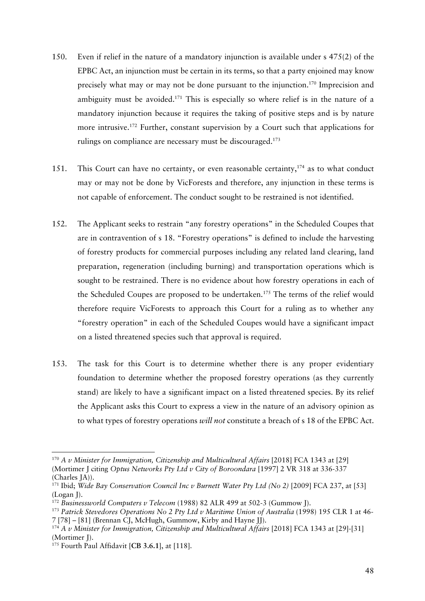- 150. Even if relief in the nature of a mandatory injunction is available under s 475(2) of the EPBC Act, an injunction must be certain in its terms, so that a party enjoined may know precisely what may or may not be done pursuant to the injunction.170 Imprecision and ambiguity must be avoided.<sup>171</sup> This is especially so where relief is in the nature of a mandatory injunction because it requires the taking of positive steps and is by nature more intrusive.<sup>172</sup> Further, constant supervision by a Court such that applications for rulings on compliance are necessary must be discouraged.173
- 151. This Court can have no certainty, or even reasonable certainty,<sup>174</sup> as to what conduct may or may not be done by VicForests and therefore, any injunction in these terms is not capable of enforcement. The conduct sought to be restrained is not identified.
- 152. The Applicant seeks to restrain "any forestry operations" in the Scheduled Coupes that are in contravention of s 18. "Forestry operations" is defined to include the harvesting of forestry products for commercial purposes including any related land clearing, land preparation, regeneration (including burning) and transportation operations which is sought to be restrained. There is no evidence about how forestry operations in each of the Scheduled Coupes are proposed to be undertaken.<sup>175</sup> The terms of the relief would therefore require VicForests to approach this Court for a ruling as to whether any "forestry operation" in each of the Scheduled Coupes would have a significant impact on a listed threatened species such that approval is required.
- 153. The task for this Court is to determine whether there is any proper evidentiary foundation to determine whether the proposed forestry operations (as they currently stand) are likely to have a significant impact on a listed threatened species. By its relief the Applicant asks this Court to express a view in the nature of an advisory opinion as to what types of forestry operations *will not* constitute a breach of s 18 of the EPBC Act.

<sup>&</sup>lt;sup>170</sup> A v Minister for Immigration, Citizenship and Multicultural Affairs [2018] FCA 1343 at [29] (Mortimer J citing *Optus Networks Pty Ltd v City of Boroondara* [1997] 2 VR 318 at 336-337 (Charles JA)).

<sup>171</sup> Ibid; *Wide Bay Conservation Council Inc v Burnett Water Pty Ltd (No 2)* [2009] FCA 237, at [53] (Logan J).

<sup>&</sup>lt;sup>172</sup> *Businessworld Computers v Telecom* (1988) 82 ALR 499 at 502-3 (Gummow J).<br><sup>173</sup> *Patrick Stevedores Operations No 2 Pty Ltd v Maritime Union of Australia* (1998) 195 CLR 1 at 46-

<sup>7 [78] –</sup> [81] (Brennan CJ, McHugh, Gummow, Kirby and Hayne JJ).

<sup>174</sup> *A v Minister for Immigration, Citizenship and Multicultural Affairs* [2018] FCA 1343 at [29]-[31] (Mortimer I).

<sup>175</sup> Fourth Paul Affidavit [**CB 3.6.1**], at [118].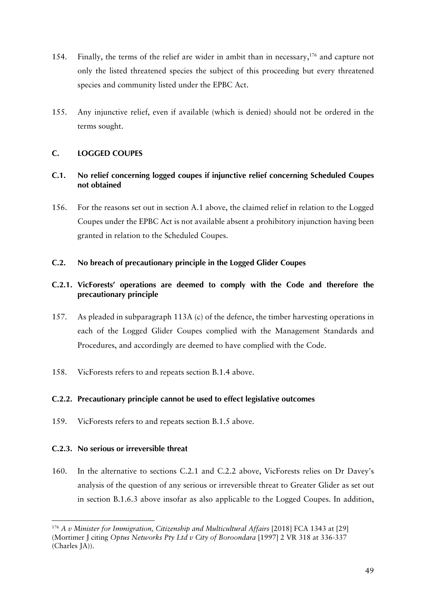- 154. Finally, the terms of the relief are wider in ambit than in necessary,<sup>176</sup> and capture not only the listed threatened species the subject of this proceeding but every threatened species and community listed under the EPBC Act.
- 155. Any injunctive relief, even if available (which is denied) should not be ordered in the terms sought.

# **C. LOGGED COUPES**

# **C.1. No relief concerning logged coupes if injunctive relief concerning Scheduled Coupes not obtained**

156. For the reasons set out in section A.1 above, the claimed relief in relation to the Logged Coupes under the EPBC Act is not available absent a prohibitory injunction having been granted in relation to the Scheduled Coupes.

## **C.2. No breach of precautionary principle in the Logged Glider Coupes**

# **C.2.1. VicForests' operations are deemed to comply with the Code and therefore the precautionary principle**

- 157. As pleaded in subparagraph 113A (c) of the defence, the timber harvesting operations in each of the Logged Glider Coupes complied with the Management Standards and Procedures, and accordingly are deemed to have complied with the Code.
- 158. VicForests refers to and repeats section B.1.4 above.

# **C.2.2. Precautionary principle cannot be used to effect legislative outcomes**

159. VicForests refers to and repeats section B.1.5 above.

## **C.2.3. No serious or irreversible threat**

 

160. In the alternative to sections C.2.1 and C.2.2 above, VicForests relies on Dr Davey's analysis of the question of any serious or irreversible threat to Greater Glider as set out in section B.1.6.3 above insofar as also applicable to the Logged Coupes. In addition,

<sup>&</sup>lt;sup>176</sup> A v Minister for Immigration, Citizenship and Multicultural Affairs [2018] FCA 1343 at [29] (Mortimer J citing *Optus Networks Pty Ltd v City of Boroondara* [1997] 2 VR 318 at 336-337 (Charles JA)).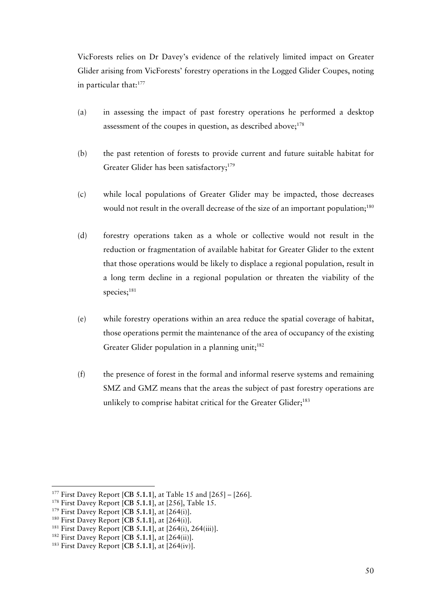VicForests relies on Dr Davey's evidence of the relatively limited impact on Greater Glider arising from VicForests' forestry operations in the Logged Glider Coupes, noting in particular that:<sup>177</sup>

- (a) in assessing the impact of past forestry operations he performed a desktop assessment of the coupes in question, as described above;<sup>178</sup>
- (b) the past retention of forests to provide current and future suitable habitat for Greater Glider has been satisfactory;<sup>179</sup>
- (c) while local populations of Greater Glider may be impacted, those decreases would not result in the overall decrease of the size of an important population;<sup>180</sup>
- (d) forestry operations taken as a whole or collective would not result in the reduction or fragmentation of available habitat for Greater Glider to the extent that those operations would be likely to displace a regional population, result in a long term decline in a regional population or threaten the viability of the species;<sup>181</sup>
- (e) while forestry operations within an area reduce the spatial coverage of habitat, those operations permit the maintenance of the area of occupancy of the existing Greater Glider population in a planning unit;<sup>182</sup>
- (f) the presence of forest in the formal and informal reserve systems and remaining SMZ and GMZ means that the areas the subject of past forestry operations are unlikely to comprise habitat critical for the Greater Glider;<sup>183</sup>

<sup>&</sup>lt;sup>177</sup> First Davey Report [CB 5.1.1], at Table 15 and [265] – [266].<br><sup>178</sup> First Davey Report [CB 5.1.1], at [256], Table 15.<br><sup>179</sup> First Davey Report [CB 5.1.1], at [264(i)].<br><sup>180</sup> First Davey Report [CB 5.1.1], at [264(i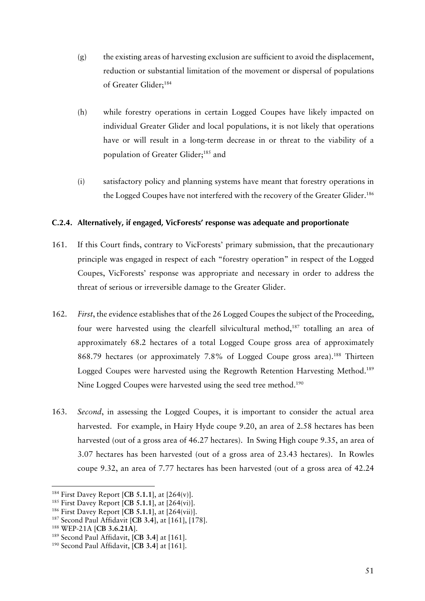- (g) the existing areas of harvesting exclusion are sufficient to avoid the displacement, reduction or substantial limitation of the movement or dispersal of populations of Greater Glider;<sup>184</sup>
- (h) while forestry operations in certain Logged Coupes have likely impacted on individual Greater Glider and local populations, it is not likely that operations have or will result in a long-term decrease in or threat to the viability of a population of Greater Glider;185 and
- (i) satisfactory policy and planning systems have meant that forestry operations in the Logged Coupes have not interfered with the recovery of the Greater Glider.<sup>186</sup>

## **C.2.4. Alternatively, if engaged, VicForests' response was adequate and proportionate**

- 161. If this Court finds, contrary to VicForests' primary submission, that the precautionary principle was engaged in respect of each "forestry operation" in respect of the Logged Coupes, VicForests' response was appropriate and necessary in order to address the threat of serious or irreversible damage to the Greater Glider.
- 162. *First*, the evidence establishes that of the 26 Logged Coupes the subject of the Proceeding, four were harvested using the clearfell silvicultural method,<sup>187</sup> totalling an area of approximately 68.2 hectares of a total Logged Coupe gross area of approximately 868.79 hectares (or approximately 7.8% of Logged Coupe gross area).<sup>188</sup> Thirteen Logged Coupes were harvested using the Regrowth Retention Harvesting Method.<sup>189</sup> Nine Logged Coupes were harvested using the seed tree method.<sup>190</sup>
- 163. *Second*, in assessing the Logged Coupes, it is important to consider the actual area harvested. For example, in Hairy Hyde coupe 9.20, an area of 2.58 hectares has been harvested (out of a gross area of 46.27 hectares). In Swing High coupe 9.35, an area of 3.07 hectares has been harvested (out of a gross area of 23.43 hectares). In Rowles coupe 9.32, an area of 7.77 hectares has been harvested (out of a gross area of 42.24

<sup>&</sup>lt;sup>184</sup> First Davey Report [CB 5.1.1], at [264(v)].<br><sup>185</sup> First Davey Report [CB 5.1.1], at [264(vi)].<br><sup>186</sup> First Davey Report [CB 5.1.1], at [264(vii)].<br><sup>187</sup> Second Paul Affidavit [CB 3.4], at [161], [178].

<sup>188</sup> WEP-21A [**CB 3.6.21A**].

<sup>189</sup> Second Paul Affidavit, **[CB 3.4**] at [161].

<sup>190</sup> Second Paul Affidavit, [**CB 3.4**] at [161].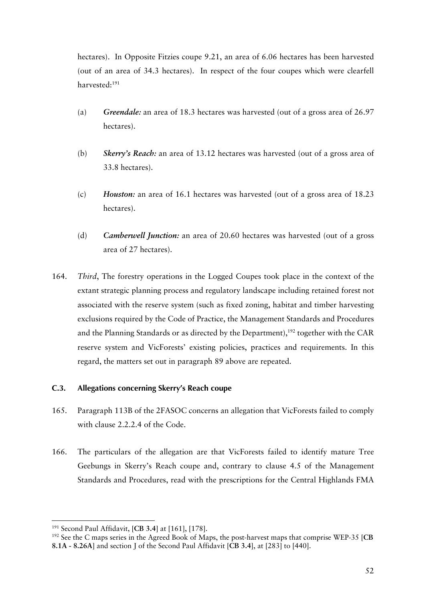hectares). In Opposite Fitzies coupe 9.21, an area of 6.06 hectares has been harvested (out of an area of 34.3 hectares). In respect of the four coupes which were clearfell harvested:191

- (a) *Greendale:* an area of 18.3 hectares was harvested (out of a gross area of 26.97 hectares).
- (b) *Skerry's Reach:* an area of 13.12 hectares was harvested (out of a gross area of 33.8 hectares).
- (c) *Houston:* an area of 16.1 hectares was harvested (out of a gross area of 18.23 hectares).
- (d) *Camberwell Junction:* an area of 20.60 hectares was harvested (out of a gross area of 27 hectares).
- 164. *Third*, The forestry operations in the Logged Coupes took place in the context of the extant strategic planning process and regulatory landscape including retained forest not associated with the reserve system (such as fixed zoning, habitat and timber harvesting exclusions required by the Code of Practice, the Management Standards and Procedures and the Planning Standards or as directed by the Department),  $192$  together with the CAR reserve system and VicForests' existing policies, practices and requirements. In this regard, the matters set out in paragraph 89 above are repeated.

## **C.3. Allegations concerning Skerry's Reach coupe**

- 165. Paragraph 113B of the 2FASOC concerns an allegation that VicForests failed to comply with clause 2.2.2.4 of the Code.
- 166. The particulars of the allegation are that VicForests failed to identify mature Tree Geebungs in Skerry's Reach coupe and, contrary to clause 4.5 of the Management Standards and Procedures, read with the prescriptions for the Central Highlands FMA

<sup>191</sup> Second Paul Affidavit, [**CB 3.4**] at [161], [178].

<sup>192</sup> See the C maps series in the Agreed Book of Maps, the post-harvest maps that comprise WEP-35 [**CB 8.1A - 8.26A**] and section J of the Second Paul Affidavit [**CB 3.4**], at [283] to [440].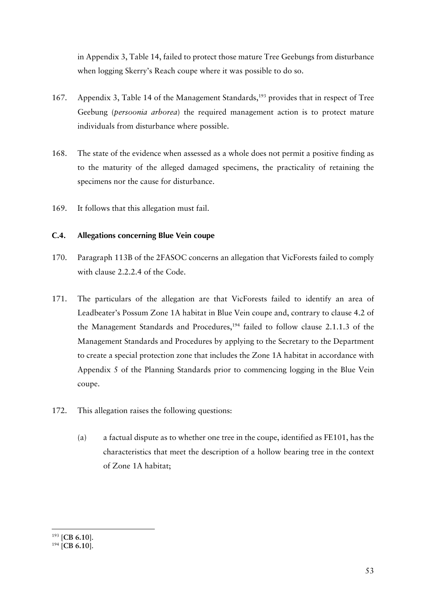in Appendix 3, Table 14, failed to protect those mature Tree Geebungs from disturbance when logging Skerry's Reach coupe where it was possible to do so.

- 167. Appendix 3, Table 14 of the Management Standards,<sup>193</sup> provides that in respect of Tree Geebung (*persoonia arborea*) the required management action is to protect mature individuals from disturbance where possible.
- 168. The state of the evidence when assessed as a whole does not permit a positive finding as to the maturity of the alleged damaged specimens, the practicality of retaining the specimens nor the cause for disturbance.
- 169. It follows that this allegation must fail.

## **C.4. Allegations concerning Blue Vein coupe**

- 170. Paragraph 113B of the 2FASOC concerns an allegation that VicForests failed to comply with clause 2.2.2.4 of the Code.
- 171. The particulars of the allegation are that VicForests failed to identify an area of Leadbeater's Possum Zone 1A habitat in Blue Vein coupe and, contrary to clause 4.2 of the Management Standards and Procedures,<sup>194</sup> failed to follow clause 2.1.1.3 of the Management Standards and Procedures by applying to the Secretary to the Department to create a special protection zone that includes the Zone 1A habitat in accordance with Appendix 5 of the Planning Standards prior to commencing logging in the Blue Vein coupe.
- 172. This allegation raises the following questions:
	- (a) a factual dispute as to whether one tree in the coupe, identified as FE101, has the characteristics that meet the description of a hollow bearing tree in the context of Zone 1A habitat;

<sup>193</sup> [**CB 6.10**].

<sup>194</sup> [**CB 6.10**].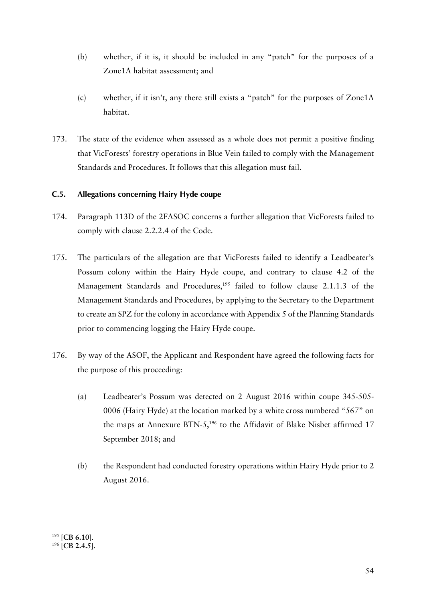- (b) whether, if it is, it should be included in any "patch" for the purposes of a Zone1A habitat assessment; and
- (c) whether, if it isn't, any there still exists a "patch" for the purposes of Zone1A habitat.
- 173. The state of the evidence when assessed as a whole does not permit a positive finding that VicForests' forestry operations in Blue Vein failed to comply with the Management Standards and Procedures. It follows that this allegation must fail.

# **C.5. Allegations concerning Hairy Hyde coupe**

- 174. Paragraph 113D of the 2FASOC concerns a further allegation that VicForests failed to comply with clause 2.2.2.4 of the Code.
- 175. The particulars of the allegation are that VicForests failed to identify a Leadbeater's Possum colony within the Hairy Hyde coupe, and contrary to clause 4.2 of the Management Standards and Procedures,<sup>195</sup> failed to follow clause 2.1.1.3 of the Management Standards and Procedures, by applying to the Secretary to the Department to create an SPZ for the colony in accordance with Appendix 5 of the Planning Standards prior to commencing logging the Hairy Hyde coupe.
- 176. By way of the ASOF, the Applicant and Respondent have agreed the following facts for the purpose of this proceeding:
	- (a) Leadbeater's Possum was detected on 2 August 2016 within coupe 345-505- 0006 (Hairy Hyde) at the location marked by a white cross numbered "567" on the maps at Annexure BTN-5,<sup>196</sup> to the Affidavit of Blake Nisbet affirmed 17 September 2018; and
	- (b) the Respondent had conducted forestry operations within Hairy Hyde prior to 2 August 2016.

<sup>195</sup> [**CB 6.10**].

<sup>196</sup> [**CB 2.4.5**].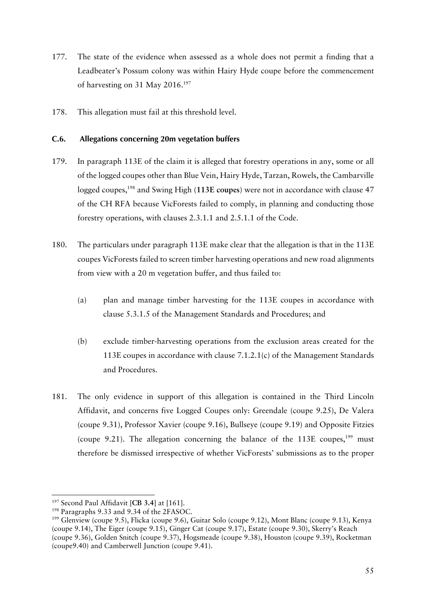- 177. The state of the evidence when assessed as a whole does not permit a finding that a Leadbeater's Possum colony was within Hairy Hyde coupe before the commencement of harvesting on 31 May 2016.197
- 178. This allegation must fail at this threshold level.

### **C.6. Allegations concerning 20m vegetation buffers**

- 179. In paragraph 113E of the claim it is alleged that forestry operations in any, some or all of the logged coupes other than Blue Vein, Hairy Hyde, Tarzan, Rowels, the Cambarville logged coupes,198 and Swing High (**113E coupes**) were not in accordance with clause 47 of the CH RFA because VicForests failed to comply, in planning and conducting those forestry operations, with clauses 2.3.1.1 and 2.5.1.1 of the Code.
- 180. The particulars under paragraph 113E make clear that the allegation is that in the 113E coupes VicForests failed to screen timber harvesting operations and new road alignments from view with a 20 m vegetation buffer, and thus failed to:
	- (a) plan and manage timber harvesting for the 113E coupes in accordance with clause 5.3.1.5 of the Management Standards and Procedures; and
	- (b) exclude timber-harvesting operations from the exclusion areas created for the 113E coupes in accordance with clause 7.1.2.1(c) of the Management Standards and Procedures.
- 181. The only evidence in support of this allegation is contained in the Third Lincoln Affidavit, and concerns five Logged Coupes only: Greendale (coupe 9.25), De Valera (coupe 9.31), Professor Xavier (coupe 9.16), Bullseye (coupe 9.19) and Opposite Fitzies (coupe 9.21). The allegation concerning the balance of the  $113E$  coupes,<sup>199</sup> must therefore be dismissed irrespective of whether VicForests' submissions as to the proper

<sup>&</sup>lt;sup>197</sup> Second Paul Affidavit [CB 3.4] at [161].<br><sup>198</sup> Paragraphs 9.33 and 9.34 of the 2FASOC.

<sup>&</sup>lt;sup>199</sup> Glenview (coupe 9.5), Flicka (coupe 9.6), Guitar Solo (coupe 9.12), Mont Blanc (coupe 9.13), Kenya (coupe 9.14), The Eiger (coupe 9.15), Ginger Cat (coupe 9.17), Estate (coupe 9.30), Skerry's Reach (coupe 9.36), Golden Snitch (coupe 9.37), Hogsmeade (coupe 9.38), Houston (coupe 9.39), Rocketman (coupe9.40) and Camberwell Junction (coupe 9.41).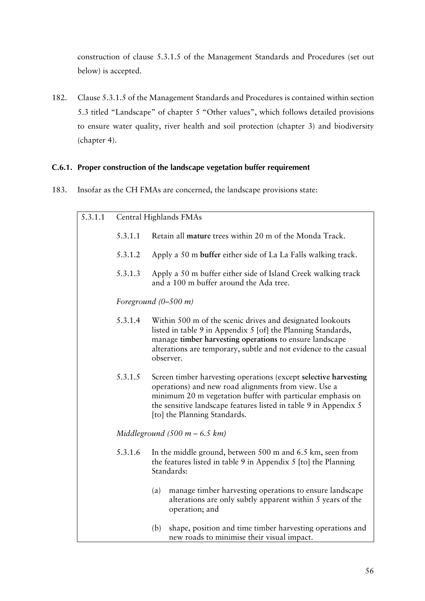construction of clause 5.3.1.5 of the Management Standards and Procedures (set out below) is accepted.

182. Clause 5.3.1.5 of the Management Standards and Procedures is contained within section 5.3 titled "Landscape" of chapter 5 "Other values", which follows detailed provisions to ensure water quality, river health and soil protection (chapter 3) and biodiversity (chapter 4).

## **C.6.1. Proper construction of the landscape vegetation buffer requirement**

183. Insofar as the CH FMAs are concerned, the landscape provisions state:

| 5.3.1.1 | Central Highlands FMAs |                                                                                                                                                                                                                                                                                                                                                                                                                                                                                                                                                                     |  |
|---------|------------------------|---------------------------------------------------------------------------------------------------------------------------------------------------------------------------------------------------------------------------------------------------------------------------------------------------------------------------------------------------------------------------------------------------------------------------------------------------------------------------------------------------------------------------------------------------------------------|--|
|         | 5.3.1.1                | Retain all mature trees within 20 m of the Monda Track.                                                                                                                                                                                                                                                                                                                                                                                                                                                                                                             |  |
|         | 5.3.1.2                | Apply a 50 m buffer either side of La La Falls walking track.                                                                                                                                                                                                                                                                                                                                                                                                                                                                                                       |  |
|         | 5.3.1.3                | Apply a 50 m buffer either side of Island Creek walking track<br>and a 100 m buffer around the Ada tree.                                                                                                                                                                                                                                                                                                                                                                                                                                                            |  |
|         |                        | Foreground $(0-500 \; m)$                                                                                                                                                                                                                                                                                                                                                                                                                                                                                                                                           |  |
|         | 5.3.1.4                | Within 500 m of the scenic drives and designated lookouts<br>listed in table 9 in Appendix 5 [of] the Planning Standards,<br>manage timber harvesting operations to ensure landscape<br>alterations are temporary, subtle and not evidence to the casual<br>observer.<br>Screen timber harvesting operations (except selective harvesting<br>operations) and new road alignments from view. Use a<br>minimum 20 m vegetation buffer with particular emphasis on<br>the sensitive landscape features listed in table 9 in Appendix 5<br>[to] the Planning Standards. |  |
|         | 5.3.1.5                |                                                                                                                                                                                                                                                                                                                                                                                                                                                                                                                                                                     |  |
|         |                        | Middleground $(500 \; m - 6.5 \; km)$                                                                                                                                                                                                                                                                                                                                                                                                                                                                                                                               |  |
|         | 5.3.1.6                | In the middle ground, between 500 m and 6.5 km, seen from<br>the features listed in table 9 in Appendix 5 [to] the Planning<br>Standards:                                                                                                                                                                                                                                                                                                                                                                                                                           |  |
|         |                        | manage timber harvesting operations to ensure landscape<br>(a)<br>alterations are only subtly apparent within 5 years of the<br>operation; and                                                                                                                                                                                                                                                                                                                                                                                                                      |  |
|         |                        | shape, position and time timber harvesting operations and<br>(b)<br>new roads to minimise their visual impact.                                                                                                                                                                                                                                                                                                                                                                                                                                                      |  |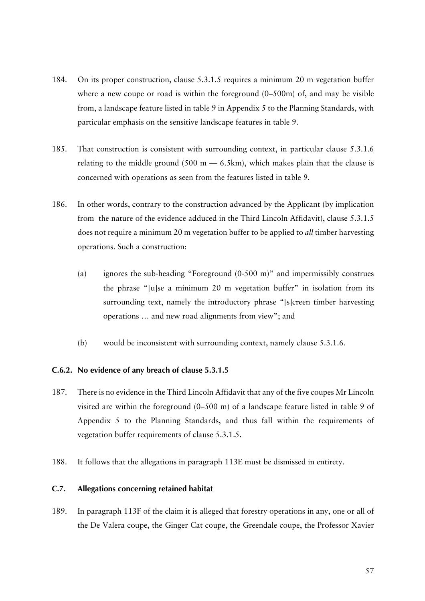- 184. On its proper construction, clause 5.3.1.5 requires a minimum 20 m vegetation buffer where a new coupe or road is within the foreground (0–500m) of, and may be visible from, a landscape feature listed in table 9 in Appendix 5 to the Planning Standards, with particular emphasis on the sensitive landscape features in table 9.
- 185. That construction is consistent with surrounding context, in particular clause 5.3.1.6 relating to the middle ground  $(500 \text{ m} - 6.5 \text{ km})$ , which makes plain that the clause is concerned with operations as seen from the features listed in table 9.
- 186. In other words, contrary to the construction advanced by the Applicant (by implication from the nature of the evidence adduced in the Third Lincoln Affidavit), clause 5.3.1.5 does not require a minimum 20 m vegetation buffer to be applied to *all* timber harvesting operations. Such a construction:
	- (a) ignores the sub-heading "Foreground (0-500 m)" and impermissibly construes the phrase "[u]se a minimum 20 m vegetation buffer" in isolation from its surrounding text, namely the introductory phrase "[s]creen timber harvesting operations … and new road alignments from view"; and
	- (b) would be inconsistent with surrounding context, namely clause 5.3.1.6.

## **C.6.2. No evidence of any breach of clause 5.3.1.5**

- 187. There is no evidence in the Third Lincoln Affidavit that any of the five coupes Mr Lincoln visited are within the foreground (0–500 m) of a landscape feature listed in table 9 of Appendix 5 to the Planning Standards, and thus fall within the requirements of vegetation buffer requirements of clause 5.3.1.5.
- 188. It follows that the allegations in paragraph 113E must be dismissed in entirety.

## **C.7. Allegations concerning retained habitat**

189. In paragraph 113F of the claim it is alleged that forestry operations in any, one or all of the De Valera coupe, the Ginger Cat coupe, the Greendale coupe, the Professor Xavier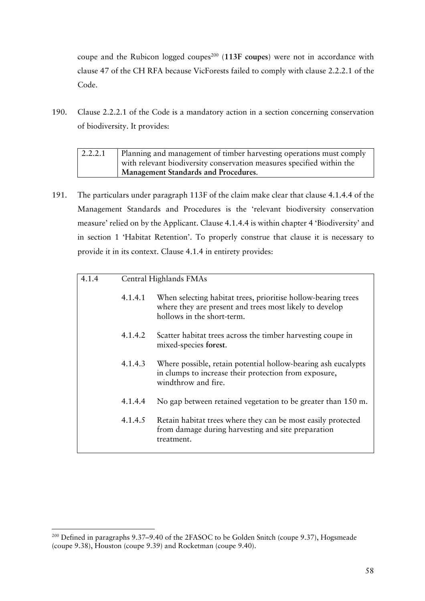coupe and the Rubicon logged coupes<sup>200</sup> (113F coupes) were not in accordance with clause 47 of the CH RFA because VicForests failed to comply with clause 2.2.2.1 of the Code.

190. Clause 2.2.2.1 of the Code is a mandatory action in a section concerning conservation of biodiversity. It provides:

| 2.2.2.1 | Planning and management of timber harvesting operations must comply   |
|---------|-----------------------------------------------------------------------|
|         | with relevant biodiversity conservation measures specified within the |
|         | <b>Management Standards and Procedures.</b>                           |

191. The particulars under paragraph 113F of the claim make clear that clause 4.1.4.4 of the Management Standards and Procedures is the 'relevant biodiversity conservation measure' relied on by the Applicant. Clause 4.1.4.4 is within chapter 4 'Biodiversity' and in section 1 'Habitat Retention'. To properly construe that clause it is necessary to provide it in its context. Clause 4.1.4 in entirety provides:

| 4.1.4 | Central Highlands FMAs |                                                                                                                                                        |
|-------|------------------------|--------------------------------------------------------------------------------------------------------------------------------------------------------|
|       | 4.1.4.1                | When selecting habitat trees, prioritise hollow-bearing trees<br>where they are present and trees most likely to develop<br>hollows in the short-term. |
|       | 4.1.4.2                | Scatter habitat trees across the timber harvesting coupe in<br>mixed-species forest.                                                                   |
|       | 4.1.4.3                | Where possible, retain potential hollow-bearing ash eucalypts<br>in clumps to increase their protection from exposure,<br>windthrow and fire.          |
|       | 4.1.4.4                | No gap between retained vegetation to be greater than 150 m.                                                                                           |
|       | 4.1.4.5                | Retain habitat trees where they can be most easily protected<br>from damage during harvesting and site preparation<br>treatment.                       |

<sup>&</sup>lt;sup>200</sup> Defined in paragraphs 9.37–9.40 of the 2FASOC to be Golden Snitch (coupe 9.37), Hogsmeade (coupe 9.38), Houston (coupe 9.39) and Rocketman (coupe 9.40).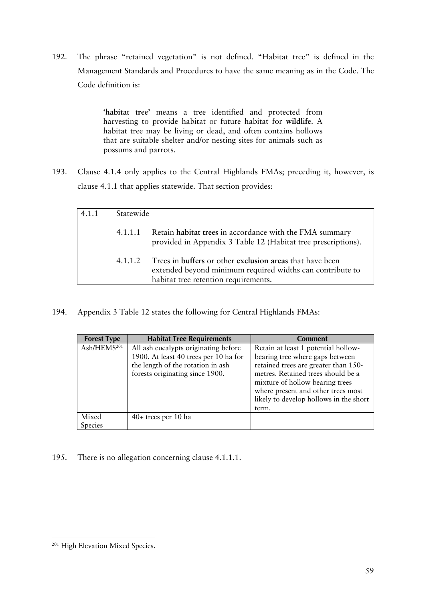192. The phrase "retained vegetation" is not defined. "Habitat tree" is defined in the Management Standards and Procedures to have the same meaning as in the Code. The Code definition is:

> **'habitat tree'** means a tree identified and protected from harvesting to provide habitat or future habitat for **wildlife**. A habitat tree may be living or dead, and often contains hollows that are suitable shelter and/or nesting sites for animals such as possums and parrots.

193. Clause 4.1.4 only applies to the Central Highlands FMAs; preceding it, however, is clause 4.1.1 that applies statewide. That section provides:

| 4.1.1 | Statewide |                                                                                                                                                               |  |
|-------|-----------|---------------------------------------------------------------------------------------------------------------------------------------------------------------|--|
|       | 4.1.1.1   | Retain habitat trees in accordance with the FMA summary<br>provided in Appendix 3 Table 12 (Habitat tree prescriptions).                                      |  |
|       | 4.1.1.2   | Trees in buffers or other exclusion areas that have been<br>extended beyond minimum required widths can contribute to<br>habitat tree retention requirements. |  |
|       |           |                                                                                                                                                               |  |

194. Appendix 3 Table 12 states the following for Central Highlands FMAs:

| <b>Forest Type</b>      | <b>Habitat Tree Requirements</b>                                                                                                                      | <b>Comment</b>                                                                                                                                                                                                                                                                   |
|-------------------------|-------------------------------------------------------------------------------------------------------------------------------------------------------|----------------------------------------------------------------------------------------------------------------------------------------------------------------------------------------------------------------------------------------------------------------------------------|
| Ash/HEMS <sup>201</sup> | All ash eucalypts originating before<br>1900. At least 40 trees per 10 ha for<br>the length of the rotation in ash<br>forests originating since 1900. | Retain at least 1 potential hollow-<br>bearing tree where gaps between<br>retained trees are greater than 150-<br>metres. Retained trees should be a<br>mixture of hollow bearing trees<br>where present and other trees most<br>likely to develop hollows in the short<br>term. |
| Mixed<br>Species        | $40+$ trees per 10 ha                                                                                                                                 |                                                                                                                                                                                                                                                                                  |

195. There is no allegation concerning clause 4.1.1.1.

 <sup>201</sup> High Elevation Mixed Species.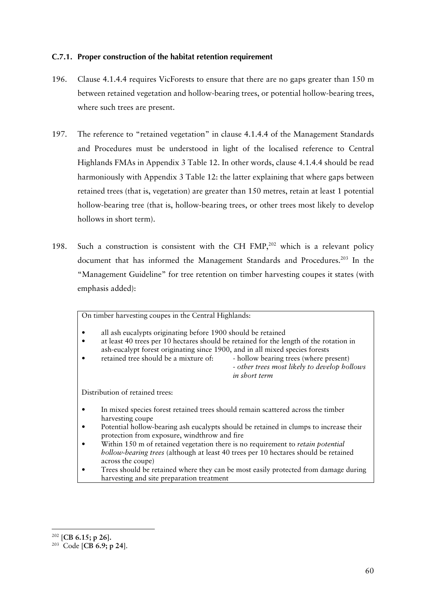## **C.7.1. Proper construction of the habitat retention requirement**

- 196. Clause 4.1.4.4 requires VicForests to ensure that there are no gaps greater than 150 m between retained vegetation and hollow-bearing trees, or potential hollow-bearing trees, where such trees are present.
- 197. The reference to "retained vegetation" in clause 4.1.4.4 of the Management Standards and Procedures must be understood in light of the localised reference to Central Highlands FMAs in Appendix 3 Table 12. In other words, clause 4.1.4.4 should be read harmoniously with Appendix 3 Table 12: the latter explaining that where gaps between retained trees (that is, vegetation) are greater than 150 metres, retain at least 1 potential hollow-bearing tree (that is, hollow-bearing trees, or other trees most likely to develop hollows in short term).
- 198. Such a construction is consistent with the CH FMP, $202$  which is a relevant policy document that has informed the Management Standards and Procedures.<sup>203</sup> In the "Management Guideline" for tree retention on timber harvesting coupes it states (with emphasis added):

On timber harvesting coupes in the Central Highlands:

all ash eucalypts originating before 1900 should be retained

• at least 40 trees per 10 hectares should be retained for the length of the rotation in ash-eucalypt forest originating since 1900, and in all mixed species forests

• retained tree should be a mixture of: - hollow bearing trees (where present)

- *other trees most likely to develop hollows in short term*

Distribution of retained trees:

- In mixed species forest retained trees should remain scattered across the timber harvesting coupe
- Potential hollow-bearing ash eucalypts should be retained in clumps to increase their protection from exposure, windthrow and fire
- Within 150 m of retained vegetation there is no requirement to *retain potential hollow-bearing trees* (although at least 40 trees per 10 hectares should be retained across the coupe)
- Trees should be retained where they can be most easily protected from damage during harvesting and site preparation treatment

<sup>202</sup> [**CB 6.15; p 26].**

<sup>203</sup> Code [**CB 6.9; p 24**].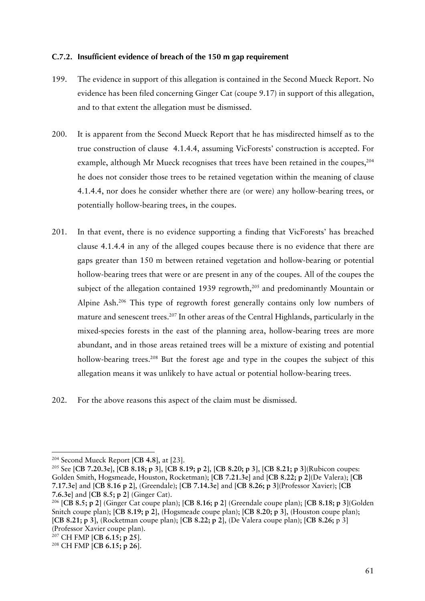## **C.7.2. Insufficient evidence of breach of the 150 m gap requirement**

- 199. The evidence in support of this allegation is contained in the Second Mueck Report. No evidence has been filed concerning Ginger Cat (coupe 9.17) in support of this allegation, and to that extent the allegation must be dismissed.
- 200. It is apparent from the Second Mueck Report that he has misdirected himself as to the true construction of clause 4.1.4.4, assuming VicForests' construction is accepted. For example, although Mr Mueck recognises that trees have been retained in the coupes.<sup>204</sup> he does not consider those trees to be retained vegetation within the meaning of clause 4.1.4.4, nor does he consider whether there are (or were) any hollow-bearing trees, or potentially hollow-bearing trees, in the coupes.
- 201. In that event, there is no evidence supporting a finding that VicForests' has breached clause 4.1.4.4 in any of the alleged coupes because there is no evidence that there are gaps greater than 150 m between retained vegetation and hollow-bearing or potential hollow-bearing trees that were or are present in any of the coupes. All of the coupes the subject of the allegation contained 1939 regrowth,<sup>205</sup> and predominantly Mountain or Alpine Ash.206 This type of regrowth forest generally contains only low numbers of mature and senescent trees.<sup>207</sup> In other areas of the Central Highlands, particularly in the mixed-species forests in the east of the planning area, hollow-bearing trees are more abundant, and in those areas retained trees will be a mixture of existing and potential hollow-bearing trees.<sup>208</sup> But the forest age and type in the coupes the subject of this allegation means it was unlikely to have actual or potential hollow-bearing trees.

202. For the above reasons this aspect of the claim must be dismissed.

<sup>204</sup> Second Mueck Report [**CB 4.8**], at [23].

<sup>205</sup> See [**CB 7.20.3e**], [**CB 8.18; p 3**], [**CB 8.19; p 2**], [**CB 8.20; p 3**], [**CB 8.21; p 3**](Rubicon coupes: Golden Smith, Hogsmeade, Houston, Rocketman); [**CB 7.21.3e]** and [**CB 8.22; p 2**](De Valera); [**CB 7.17.3e**] and [**CB 8.16 p 2**], (Greendale); [**CB 7.14.3e**] and [**CB 8.26; p 3**](Professor Xavier); [**CB 7.6.3e**] and [**CB 8.5; p 2**] (Ginger Cat). 206 [**CB 8.5; p 2**] (Ginger Cat coupe plan); [**CB 8.16; p 2**] (Greendale coupe plan); [**CB 8.18; p 3**](Golden

Snitch coupe plan); [**CB 8.19; p 2**], (Hogsmeade coupe plan); [**CB 8.20; p 3**], (Houston coupe plan); [**CB 8.21; p 3**], (Rocketman coupe plan); [**CB 8.22; p 2**], (De Valera coupe plan); [**CB 8.26;** p 3] (Professor Xavier coupe plan).

<sup>207</sup> CH FMP [**CB 6.15; p 25**].

<sup>208</sup> CH FMP [**CB 6.15; p 26**].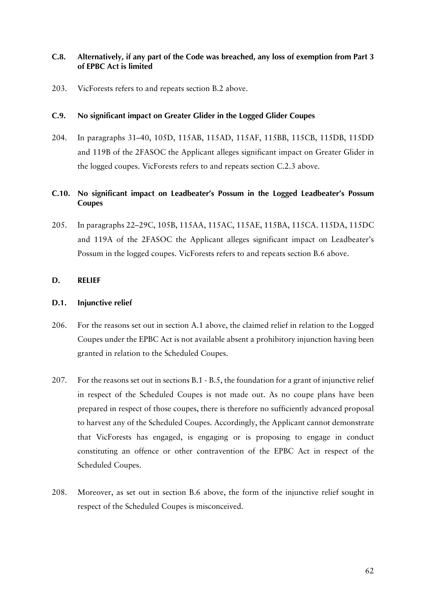## **C.8. Alternatively, if any part of the Code was breached, any loss of exemption from Part 3 of EPBC Act is limited**

203. VicForests refers to and repeats section B.2 above.

## **C.9. No significant impact on Greater Glider in the Logged Glider Coupes**

204. In paragraphs 31–40, 105D, 115AB, 115AD, 115AF, 115BB, 115CB, 115DB, 115DD and 119B of the 2FASOC the Applicant alleges significant impact on Greater Glider in the logged coupes. VicForests refers to and repeats section C.2.3 above.

# **C.10. No significant impact on Leadbeater's Possum in the Logged Leadbeater's Possum Coupes**

205. In paragraphs 22–29C, 105B, 115AA, 115AC, 115AE, 115BA, 115CA. 115DA, 115DC and 119A of the 2FASOC the Applicant alleges significant impact on Leadbeater's Possum in the logged coupes. VicForests refers to and repeats section B.6 above.

### **D. RELIEF**

## **D.1. Injunctive relief**

- 206. For the reasons set out in section A.1 above, the claimed relief in relation to the Logged Coupes under the EPBC Act is not available absent a prohibitory injunction having been granted in relation to the Scheduled Coupes.
- 207. For the reasons set out in sections B.1 B.5, the foundation for a grant of injunctive relief in respect of the Scheduled Coupes is not made out. As no coupe plans have been prepared in respect of those coupes, there is therefore no sufficiently advanced proposal to harvest any of the Scheduled Coupes. Accordingly, the Applicant cannot demonstrate that VicForests has engaged, is engaging or is proposing to engage in conduct constituting an offence or other contravention of the EPBC Act in respect of the Scheduled Coupes.
- 208. Moreover, as set out in section B.6 above, the form of the injunctive relief sought in respect of the Scheduled Coupes is misconceived.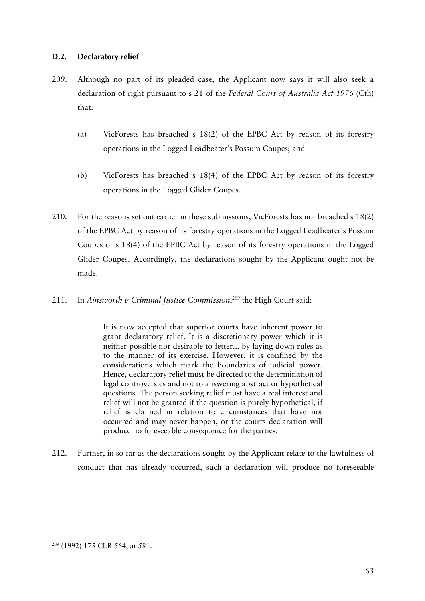## **D.2. Declaratory relief**

- 209. Although no part of its pleaded case, the Applicant now says it will also seek a declaration of right pursuant to s 21 of the *Federal Court of Australia Act 1976* (Cth) that:
	- (a) VicForests has breached s 18(2) of the EPBC Act by reason of its forestry operations in the Logged Leadbeater's Possum Coupes; and
	- (b) VicForests has breached s 18(4) of the EPBC Act by reason of its forestry operations in the Logged Glider Coupes.
- 210. For the reasons set out earlier in these submissions, VicForests has not breached s 18(2) of the EPBC Act by reason of its forestry operations in the Logged Leadbeater's Possum Coupes or s 18(4) of the EPBC Act by reason of its forestry operations in the Logged Glider Coupes. Accordingly, the declarations sought by the Applicant ought not be made.
- 211. In *Ainsworth v Criminal Justice Commission*, *<sup>209</sup>* the High Court said:

It is now accepted that superior courts have inherent power to grant declaratory relief. It is a discretionary power which it is neither possible nor desirable to fetter... by laying down rules as to the manner of its exercise. However, it is confined by the considerations which mark the boundaries of judicial power. Hence, declaratory relief must be directed to the determination of legal controversies and not to answering abstract or hypothetical questions. The person seeking relief must have a real interest and relief will not be granted if the question is purely hypothetical, if relief is claimed in relation to circumstances that have not occurred and may never happen, or the courts declaration will produce no foreseeable consequence for the parties.

212. Further, in so far as the declarations sought by the Applicant relate to the lawfulness of conduct that has already occurred, such a declaration will produce no foreseeable

 <sup>209</sup> (1992) 175 CLR 564, at 581.